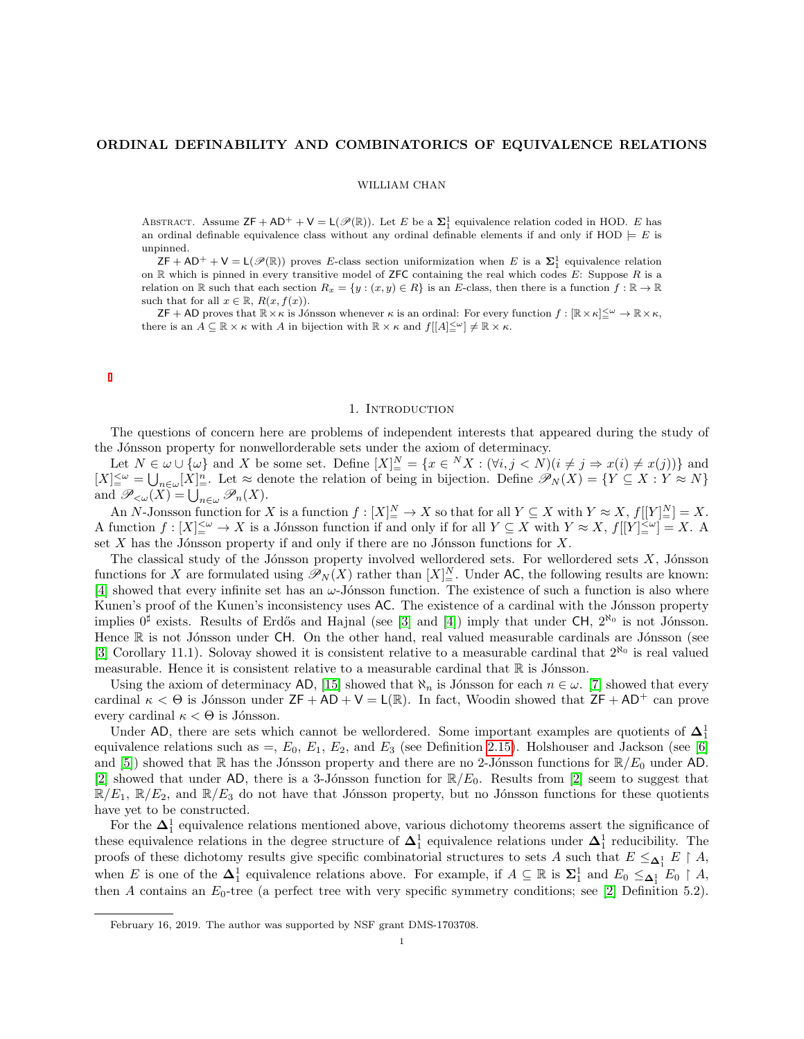# ORDINAL DEFINABILITY AND COMBINATORICS OF EQUIVALENCE RELATIONS

#### WILLIAM CHAN

ABSTRACT. Assume  $\mathsf{ZF} + \mathsf{AD}^+ + \mathsf{V} = \mathsf{L}(\mathscr{P}(\mathbb{R}))$ . Let E be a  $\Sigma_1^1$  equivalence relation coded in HOD. E has an ordinal definable equivalence class without any ordinal definable elements if and only if HOD  $\models E$  is unpinned.

 $ZF + AD^+ + V = L(\mathscr{P}(\mathbb{R}))$  proves E-class section uniformization when E is a  $\Sigma_1^1$  equivalence relation on  $\mathbb R$  which is pinned in every transitive model of ZFC containing the real which codes E: Suppose  $R$  is a relation on R such that each section  $R_x = \{y : (x, y) \in R\}$  is an E-class, then there is a function  $f : \mathbb{R} \to \mathbb{R}$ such that for all  $x \in \mathbb{R}$ ,  $R(x, f(x))$ .

 $\mathsf{ZF} + \mathsf{AD}$  proves that  $\mathbb{R} \times \kappa$  is Jónsson whenever  $\kappa$  is an ordinal: For every function  $f : [\mathbb{R} \times \kappa] \leq \omega \to \mathbb{R} \times \kappa$ , there is an  $A \subseteq \mathbb{R} \times \kappa$  with A in bijection with  $\mathbb{R} \times \kappa$  and  $f[[A]_{\leq}^{\leq \omega}] \neq \mathbb{R} \times \kappa$ .

### 1. INTRODUCTION

The questions of concern here are problems of independent interests that appeared during the study of the Jónsson property for nonwellorderable sets under the axiom of determinacy.

Let  $N \in \omega \cup \{\omega\}$  and X be some set. Define  $[X]_{\equiv}^N = \{x \in {}^N X : (\forall i, j \le N)(i \ne j \Rightarrow x(i) \ne x(j))\}$  and  $[X]_{=}^{\leq \omega} = \bigcup_{n \in \omega} [X]_{=}^n$ . Let  $\approx$  denote the relation of being in bijection. Define  $\mathscr{P}_N(X) = \{ Y \subseteq X : Y \approx N \}$ and  $\mathscr{P}_{\leq \omega}(X) = \bigcup_{n \in \omega} \mathscr{P}_n(X)$ .

An N-Jonsson function for X is a function  $f: [X]_{=}^N \to X$  so that for all  $Y \subseteq X$  with  $Y \approx X$ ,  $f[[Y]_{=}^N] = X$ . A function  $f: [X] \xrightarrow{\leq \omega} \to X$  is a Jónsson function if and only if for all  $Y \subseteq X$  with  $Y \approx X$ ,  $f[[Y] \xrightarrow{\leq \omega}] = X$ . A set  $X$  has the Jónsson property if and only if there are no Jónsson functions for  $X$ .

The classical study of the Jónsson property involved wellordered sets. For wellordered sets  $X$ , Jónsson functions for X are formulated using  $\mathscr{P}_N(X)$  rather than  $[X]_{\equiv}^N$ . Under AC, the following results are known: [\[4\]](#page-14-0) showed that every infinite set has an  $\omega$ -Jónsson function. The existence of such a function is also where Kunen's proof of the Kunen's inconsistency uses AC. The existence of a cardinal with the Jónsson property implies  $0^{\sharp}$  exists. Results of Erdős and Hajnal (see [\[3\]](#page-14-1) and [\[4\]](#page-14-0)) imply that under CH,  $2^{\aleph_0}$  is not Jónsson. Hence R is not Jónsson under CH. On the other hand, real valued measurable cardinals are Jónsson (see [\[3\]](#page-14-1) Corollary 11.1). Solovay showed it is consistent relative to a measurable cardinal that  $2^{\aleph_0}$  is real valued measurable. Hence it is consistent relative to a measurable cardinal that  $\mathbb R$  is Jónsson.

Using the axiom of determinacy AD, [\[15\]](#page-14-2) showed that  $\aleph_n$  is Jónsson for each  $n \in \omega$ . [\[7\]](#page-14-3) showed that every cardinal  $\kappa < \Theta$  is Jónsson under  $ZF + AD + V = L(\mathbb{R})$ . In fact, Woodin showed that  $ZF + AD^+$  can prove every cardinal  $\kappa < \Theta$  is Jónsson.

Under AD, there are sets which cannot be wellordered. Some important examples are quotients of  $\Delta_1^1$ equivalence relations such as  $=$ ,  $E_0$ ,  $E_1$ ,  $E_2$ , and  $E_3$  (see Definition [2.15\)](#page-6-0). Holshouser and Jackson (see [\[6\]](#page-14-4) and [\[5\]](#page-14-5)) showed that R has the Jónsson property and there are no 2-Jónsson functions for  $\mathbb{R}/E_0$  under AD. [\[2\]](#page-14-6) showed that under AD, there is a 3-Jónsson function for  $\mathbb{R}/E_0$ . Results from [\[2\]](#page-14-6) seem to suggest that  $\mathbb{R}/E_1$ ,  $\mathbb{R}/E_2$ , and  $\mathbb{R}/E_3$  do not have that Jónsson property, but no Jónsson functions for these quotients have yet to be constructed.

For the  $\Delta_1^1$  equivalence relations mentioned above, various dichotomy theorems assert the significance of these equivalence relations in the degree structure of  $\Delta_1^1$  equivalence relations under  $\Delta_1^1$  reducibility. The proofs of these dichotomy results give specific combinatorial structures to sets A such that  $E \leq_{\mathbf{\Delta}_1^1} E \upharpoonright A$ , when E is one of the  $\Delta_1^1$  equivalence relations above. For example, if  $A \subseteq \mathbb{R}$  is  $\Sigma_1^1$  and  $E_0 \leq_{\Delta_1^1} E_0 \upharpoonright A$ , then A contains an  $E_0$ -tree (a perfect tree with very specific symmetry conditions; see [\[2\]](#page-14-6) Definition 5.2).

February 16, 2019. The author was supported by NSF grant DMS-1703708.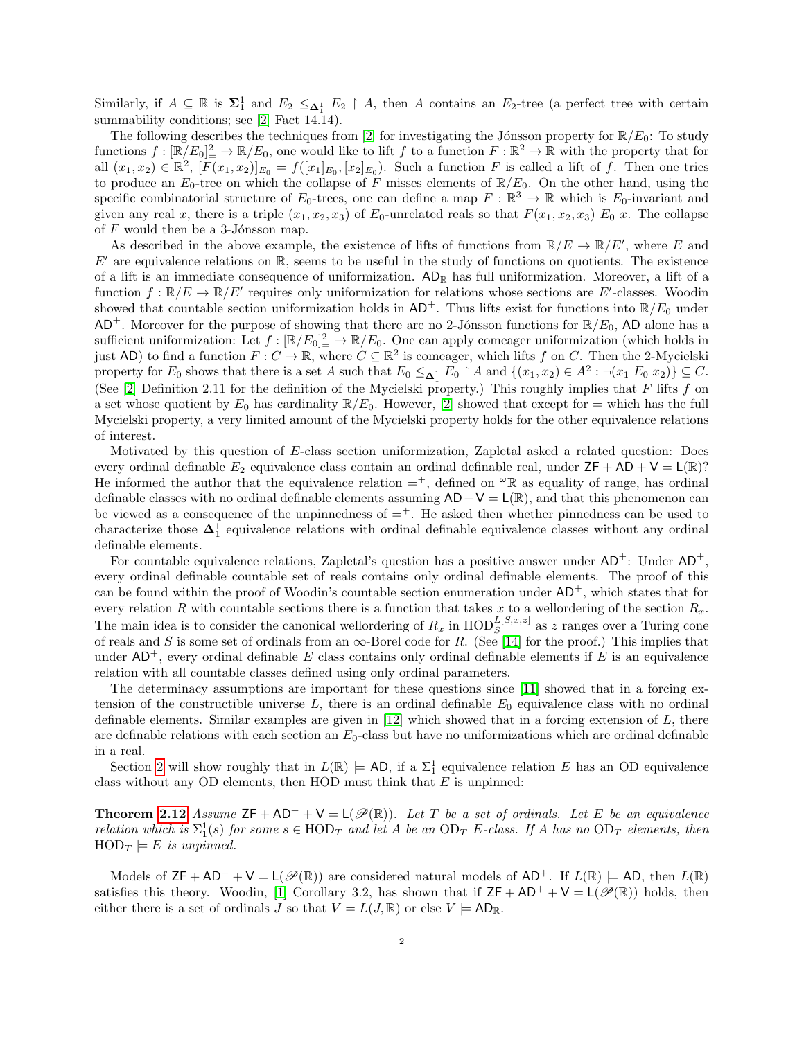Similarly, if  $A \subseteq \mathbb{R}$  is  $\Sigma_1^1$  and  $E_2 \leq_{\Delta_1^1} E_2 \upharpoonright A$ , then A contains an  $E_2$ -tree (a perfect tree with certain summability conditions; see [\[2\]](#page-14-6) Fact 14.14).

The following describes the techniques from [\[2\]](#page-14-6) for investigating the Jónsson property for  $\mathbb{R}/E_0$ : To study functions  $f: [\mathbb{R}/E_0]_+^2 \to \mathbb{R}/E_0$ , one would like to lift f to a function  $F: \mathbb{R}^2 \to \mathbb{R}$  with the property that for all  $(x_1, x_2) \in \mathbb{R}^2$ ,  $[F(x_1, x_2)]_{E_0} = f([x_1]_{E_0}, [x_2]_{E_0})$ . Such a function F is called a lift of f. Then one tries to produce an  $E_0$ -tree on which the collapse of F misses elements of  $\mathbb{R}/E_0$ . On the other hand, using the specific combinatorial structure of  $E_0$ -trees, one can define a map  $F : \mathbb{R}^3 \to \mathbb{R}$  which is  $E_0$ -invariant and given any real x, there is a triple  $(x_1, x_2, x_3)$  of  $E_0$ -unrelated reals so that  $F(x_1, x_2, x_3) E_0 x$ . The collapse of  $F$  would then be a 3-Jónsson map.

As described in the above example, the existence of lifts of functions from  $\mathbb{R}/E \to \mathbb{R}/E'$ , where E and  $E'$  are equivalence relations on R, seems to be useful in the study of functions on quotients. The existence of a lift is an immediate consequence of uniformization. AD<sub>R</sub> has full uniformization. Moreover, a lift of a function  $f : \mathbb{R}/E \to \mathbb{R}/E'$  requires only uniformization for relations whose sections are E'-classes. Woodin showed that countable section uniformization holds in  $AD^+$ . Thus lifts exist for functions into  $\mathbb{R}/E_0$  under  $AD^+$ . Moreover for the purpose of showing that there are no 2-Jónsson functions for  $\mathbb{R}/E_0$ , AD alone has a sufficient uniformization: Let  $f: [\mathbb{R}/E_0]_2^2 \to \mathbb{R}/E_0$ . One can apply comeager uniformization (which holds in just AD) to find a function  $F: C \to \mathbb{R}$ , where  $C \subseteq \mathbb{R}^2$  is comeager, which lifts f on C. Then the 2-Mycielski property for  $E_0$  shows that there is a set A such that  $E_0 \leq_{\mathbf{\Delta}_1^1} E_0 \restriction A$  and  $\{(x_1, x_2) \in A^2 : \neg(x_1 E_0, x_2)\} \subseteq C$ . (See [\[2\]](#page-14-6) Definition 2.11 for the definition of the Mycielski property.) This roughly implies that  $F$  lifts  $f$  on a set whose quotient by  $E_0$  has cardinality  $\mathbb{R}/E_0$ . However, [\[2\]](#page-14-6) showed that except for = which has the full Mycielski property, a very limited amount of the Mycielski property holds for the other equivalence relations of interest.

Motivated by this question of E-class section uniformization, Zapletal asked a related question: Does every ordinal definable  $E_2$  equivalence class contain an ordinal definable real, under  $ZF + AD + V = L(\mathbb{R})$ ? He informed the author that the equivalence relation  $=$ <sup>+</sup>, defined on  $\alpha \mathbb{R}$  as equality of range, has ordinal definable classes with no ordinal definable elements assuming  $AD+V = L(\mathbb{R})$ , and that this phenomenon can be viewed as a consequence of the unpinnedness of  $=$ . He asked then whether pinnedness can be used to characterize those  $\Delta_1^1$  equivalence relations with ordinal definable equivalence classes without any ordinal definable elements.

For countable equivalence relations, Zapletal's question has a positive answer under  $AD^+$ : Under  $AD^+$ , every ordinal definable countable set of reals contains only ordinal definable elements. The proof of this can be found within the proof of Woodin's countable section enumeration under  $AD^+$ , which states that for every relation R with countable sections there is a function that takes x to a wellordering of the section  $R_x$ . The main idea is to consider the canonical wellordering of  $R_x$  in  $\text{HOD}_S^{L[S,x,z]}$  as z ranges over a Turing cone of reals and S is some set of ordinals from an  $\infty$ -Borel code for R. (See [\[14\]](#page-14-7) for the proof.) This implies that under  $AD^+$ , every ordinal definable E class contains only ordinal definable elements if E is an equivalence relation with all countable classes defined using only ordinal parameters.

The determinacy assumptions are important for these questions since [\[11\]](#page-14-8) showed that in a forcing extension of the constructible universe  $L$ , there is an ordinal definable  $E_0$  equivalence class with no ordinal definable elements. Similar examples are given in [\[12\]](#page-14-9) which showed that in a forcing extension of L, there are definable relations with each section an  $E_0$ -class but have no uniformizations which are ordinal definable in a real.

Section [2](#page-2-0) will show roughly that in  $L(\mathbb{R}) \models AD$ , if a  $\Sigma_1^1$  equivalence relation E has an OD equivalence class without any OD elements, then HOD must think that  $E$  is unpinned:

**Theorem [2.12](#page-4-0)** Assume  $ZF + AD^+ + V = L(\mathcal{P}(\mathbb{R}))$ . Let T be a set of ordinals. Let E be an equivalence relation which is  $\Sigma_1^1(s)$  for some  $s \in \text{HOD}_T$  and let A be an  $\text{OD}_T$  E-class. If A has no  $\text{OD}_T$  elements, then  $HOD_T \models E$  is unpinned.

Models of  $ZF + AD^+ + V = L(\mathscr{P}(\mathbb{R}))$  are considered natural models of  $AD^+$ . If  $L(\mathbb{R}) \models AD$ , then  $L(\mathbb{R})$ satisfies this theory. Woodin, [\[1\]](#page-14-10) Corollary 3.2, has shown that if  $ZF + AD^+ + V = L(\mathscr{P}(\mathbb{R}))$  holds, then either there is a set of ordinals J so that  $V = L(J, \mathbb{R})$  or else  $V \models AD_{\mathbb{R}}$ .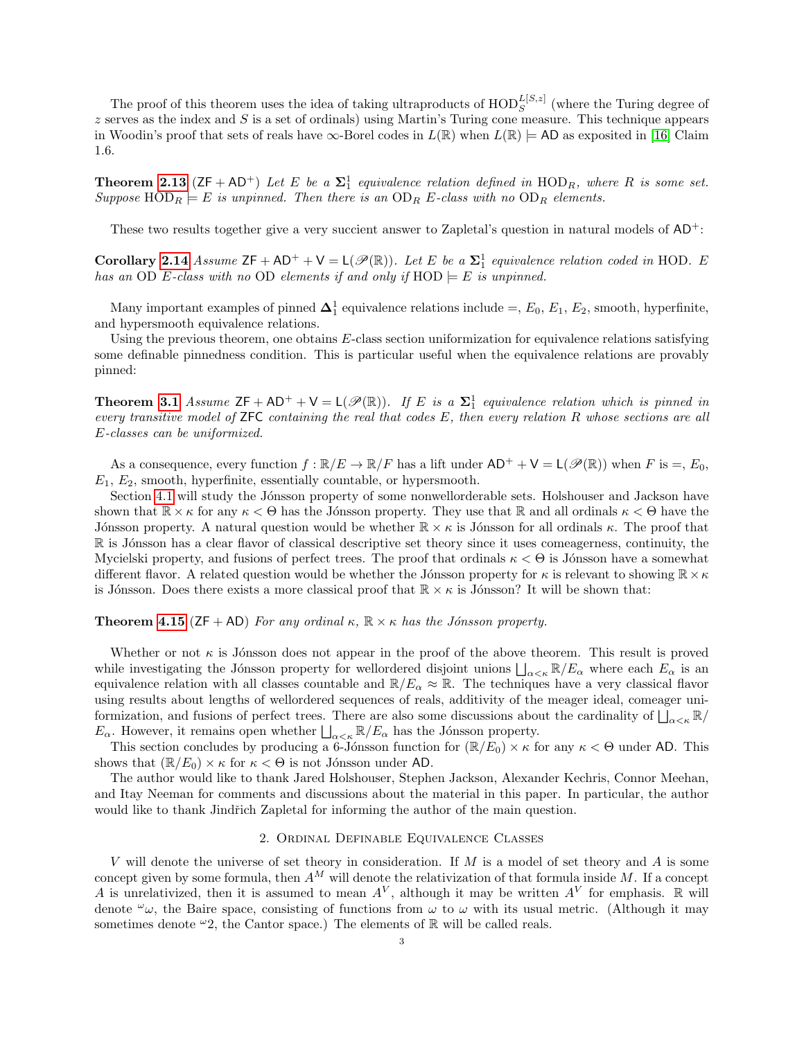The proof of this theorem uses the idea of taking ultraproducts of  $\text{HOD}_S^{L[S,z]}$  (where the Turing degree of  $z$  serves as the index and  $S$  is a set of ordinals) using Martin's Turing cone measure. This technique appears in Woodin's proof that sets of reals have  $\infty$ -Borel codes in  $L(\mathbb{R})$  when  $L(\mathbb{R}) \models$  AD as exposited in [\[16\]](#page-14-11) Claim 1.6.

**Theorem [2.13](#page-6-1)** ( $ZF + AD^+$ ) Let E be a  $\Sigma_1^1$  equivalence relation defined in  $HOD_R$ , where R is some set. Suppose  $\text{HOD}_R \models E$  is unpinned. Then there is an  $\text{OD}_R$  E-class with no  $\text{OD}_R$  elements.

These two results together give a very succient answer to Zapletal's question in natural models of  $AD^+$ :

**Corollary [2.14](#page-6-2)** Assume  $ZF + AD^+ + V = L(\mathscr{P}(\mathbb{R}))$ . Let E be a  $\Sigma_1^1$  equivalence relation coded in HOD. E has an OD E-class with no OD elements if and only if  $HOD \models E$  is unpinned.

Many important examples of pinned  $\Delta_1^1$  equivalence relations include =,  $E_0$ ,  $E_1$ ,  $E_2$ , smooth, hyperfinite, and hypersmooth equivalence relations.

Using the previous theorem, one obtains  $E$ -class section uniformization for equivalence relations satisfying some definable pinnedness condition. This is particular useful when the equivalence relations are provably pinned:

**Theorem [3.1](#page-7-0)** Assume  $ZF + AD^+ + V = L(\mathcal{P}(\mathbb{R}))$ . If E is a  $\Sigma_1^1$  equivalence relation which is pinned in every transitive model of ZFC containing the real that codes E, then every relation R whose sections are all E-classes can be uniformized.

As a consequence, every function  $f : \mathbb{R}/E \to \mathbb{R}/F$  has a lift under  $AD^+ + V = L(\mathscr{P}(\mathbb{R}))$  when F is  $=, E_0$ ,  $E_1, E_2$ , smooth, hyperfinite, essentially countable, or hypersmooth.

Section [4.1](#page-8-0) will study the Jónsson property of some nonwellorderable sets. Holshouser and Jackson have shown that  $\mathbb{R} \times \kappa$  for any  $\kappa < \Theta$  has the Jónsson property. They use that  $\mathbb{R}$  and all ordinals  $\kappa < \Theta$  have the Jónsson property. A natural question would be whether  $\mathbb{R} \times \kappa$  is Jónsson for all ordinals  $\kappa$ . The proof that  $\mathbb R$  is Jónsson has a clear flavor of classical descriptive set theory since it uses comeagerness, continuity, the Mycielski property, and fusions of perfect trees. The proof that ordinals  $\kappa < \Theta$  is Jónsson have a somewhat different flavor. A related question would be whether the Jónsson property for  $\kappa$  is relevant to showing  $\mathbb{R}\times\kappa$ is Jónsson. Does there exists a more classical proof that  $\mathbb{R} \times \kappa$  is Jónsson? It will be shown that:

**Theorem [4.15](#page-11-0)** ( $ZF + AD$ ) For any ordinal  $\kappa$ ,  $\mathbb{R} \times \kappa$  has the Jónsson property.

Whether or not  $\kappa$  is Jónsson does not appear in the proof of the above theorem. This result is proved while investigating the Jónsson property for wellordered disjoint unions  $\bigsqcup_{\alpha<\kappa} \mathbb{R}/E_\alpha$  where each  $E_\alpha$  is an equivalence relation with all classes countable and  $\mathbb{R}/E_\alpha \approx \mathbb{R}$ . The techniques have a very classical flavor using results about lengths of wellordered sequences of reals, additivity of the meager ideal, comeager uniformization, and fusions of perfect trees. There are also some discussions about the cardinality of  $\bigcup_{\alpha<\kappa}\mathbb{R}/\mathbb{R}$  $E_{\alpha}$ . However, it remains open whether  $\bigsqcup_{\alpha<\kappa} \mathbb{R}/E_{\alpha}$  has the Jónsson property.

This section concludes by producing a 6-Jónsson function for  $(\mathbb{R}/E_0) \times \kappa$  for any  $\kappa < \Theta$  under AD. This shows that  $(\mathbb{R}/E_0) \times \kappa$  for  $\kappa < \Theta$  is not Jónsson under AD.

The author would like to thank Jared Holshouser, Stephen Jackson, Alexander Kechris, Connor Meehan, and Itay Neeman for comments and discussions about the material in this paper. In particular, the author would like to thank Jindřich Zapletal for informing the author of the main question.

# 2. Ordinal Definable Equivalence Classes

<span id="page-2-0"></span>V will denote the universe of set theory in consideration. If M is a model of set theory and A is some concept given by some formula, then  $A^M$  will denote the relativization of that formula inside M. If a concept A is unrelativized, then it is assumed to mean  $A^V$ , although it may be written  $A^V$  for emphasis. R will denote  $\omega_{\omega}$ , the Baire space, consisting of functions from  $\omega$  to  $\omega$  with its usual metric. (Although it may sometimes denote  $\omega_2$ , the Cantor space.) The elements of R will be called reals.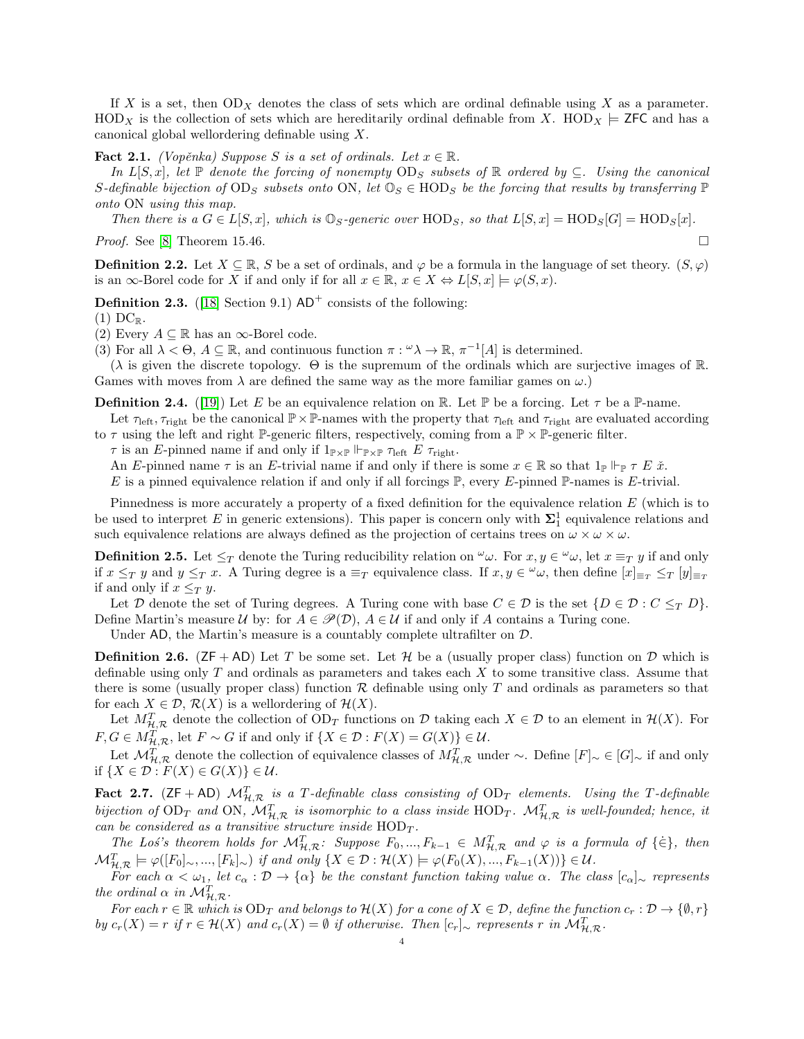If X is a set, then  $OD<sub>X</sub>$  denotes the class of sets which are ordinal definable using X as a parameter.  $HOD<sub>X</sub>$  is the collection of sets which are hereditarily ordinal definable from X. HOD<sub>X</sub>  $\models$  ZFC and has a canonical global wellordering definable using X.

## <span id="page-3-1"></span>Fact 2.1. (Vopěnka) Suppose S is a set of ordinals. Let  $x \in \mathbb{R}$ .

In L[S, x], let  $\mathbb P$  denote the forcing of nonempty OD<sub>S</sub> subsets of  $\mathbb R$  ordered by  $\subseteq$ . Using the canonical S-definable bijection of OD<sub>S</sub> subsets onto ON, let  $\mathbb{O}_S \in \text{HOD}_S$  be the forcing that results by transferring  $\mathbb{P}$ onto ON using this map.

Then there is a  $G \in L[S, x]$ , which is  $\mathbb{O}_S$ -generic over  $HOD_S$ , so that  $L[S, x] = HOD_S[G] = HOD_S[x]$ .

*Proof.* See [\[8\]](#page-14-12) Theorem 15.46.

**Definition 2.2.** Let  $X \subseteq \mathbb{R}$ , S be a set of ordinals, and  $\varphi$  be a formula in the language of set theory.  $(S, \varphi)$ is an  $\infty$ -Borel code for X if and only if for all  $x \in \mathbb{R}$ ,  $x \in X \Leftrightarrow L[S, x] \models \varphi(S, x)$ .

**Definition 2.3.** ([\[18\]](#page-14-13) Section 9.1)  $AD^+$  consists of the following:

 $(1)$  DC<sub>R</sub>.

(2) Every  $A \subseteq \mathbb{R}$  has an  $\infty$ -Borel code.

(3) For all  $\lambda < \Theta$ ,  $A \subseteq \mathbb{R}$ , and continuous function  $\pi : \omega_{\lambda} \to \mathbb{R}$ ,  $\pi^{-1}[A]$  is determined.

( $\lambda$  is given the discrete topology.  $\Theta$  is the supremum of the ordinals which are surjective images of  $\mathbb R$ . Games with moves from  $\lambda$  are defined the same way as the more familiar games on  $\omega$ .)

**Definition 2.4.** ([\[19\]](#page-14-14)) Let E be an equivalence relation on R. Let P be a forcing. Let  $\tau$  be a P-name.

Let  $\tau_{\rm left}$ ,  $\tau_{\rm right}$  be the canonical  $\mathbb{P}\times\mathbb{P}$ -names with the property that  $\tau_{\rm left}$  and  $\tau_{\rm right}$  are evaluated according to  $\tau$  using the left and right P-generic filters, respectively, coming from a  $\mathbb{P} \times \mathbb{P}$ -generic filter.

 $\tau$  is an E-pinned name if and only if  $1_{\mathbb{P}\times\mathbb{P}}$   $\Vdash_{\mathbb{P}\times\mathbb{P}}$   $\tau_{\text{left}}$  E  $\tau_{\text{right}}$ .

An E-pinned name  $\tau$  is an E-trivial name if and only if there is some  $x \in \mathbb{R}$  so that  $1_{\mathbb{P}} \Vdash_{\mathbb{P}} \tau E \tilde{x}$ .

E is a pinned equivalence relation if and only if all forcings  $\mathbb{P}$ , every E-pinned  $\mathbb{P}$ -names is E-trivial.

Pinnedness is more accurately a property of a fixed definition for the equivalence relation E (which is to be used to interpret E in generic extensions). This paper is concern only with  $\Sigma_1^1$  equivalence relations and such equivalence relations are always defined as the projection of certains trees on  $\omega \times \omega \times \omega$ .

**Definition 2.5.** Let  $\leq_T$  denote the Turing reducibility relation on  $\omega$ . For  $x, y \in \omega$ , let  $x \equiv_T y$  if and only if  $x \leq_T y$  and  $y \leq_T x$ . A Turing degree is a  $\equiv_T$  equivalence class. If  $x, y \in \omega$ , then define  $[x]_{\equiv_T} \leq_T [y]_{\equiv_T}$ if and only if  $x \leq_T y$ .

Let D denote the set of Turing degrees. A Turing cone with base  $C \in \mathcal{D}$  is the set  $\{D \in \mathcal{D} : C \leq_T D\}$ . Define Martin's measure U by: for  $A \in \mathcal{P}(\mathcal{D})$ ,  $A \in \mathcal{U}$  if and only if A contains a Turing cone.

Under AD, the Martin's measure is a countably complete ultrafilter on  $D$ .

**Definition 2.6.** ( $ZF + AD$ ) Let T be some set. Let H be a (usually proper class) function on D which is definable using only  $T$  and ordinals as parameters and takes each  $X$  to some transitive class. Assume that there is some (usually proper class) function  $R$  definable using only T and ordinals as parameters so that for each  $X \in \mathcal{D}, \mathcal{R}(X)$  is a wellordering of  $\mathcal{H}(X)$ .

Let  $M_{\mathcal{H},\mathcal{R}}^T$  denote the collection of  $OD_T$  functions on  $\mathcal{D}$  taking each  $X \in \mathcal{D}$  to an element in  $\mathcal{H}(X)$ . For  $F, G \in M_{\mathcal{H}, \mathcal{R}}^T$ , let  $F \sim G$  if and only if  $\{X \in \mathcal{D} : F(X) = G(X)\} \in \mathcal{U}$ .

Let  $\mathcal{M}_{\mathcal{H},\mathcal{R}}^T$  denote the collection of equivalence classes of  $M_{\mathcal{H},\mathcal{R}}^T$  under  $\sim$ . Define  $[F]_{\sim} \in [G]_{\sim}$  if and only if  $\{X \in \mathcal{D} : F(X) \in G(X)\} \in \mathcal{U}$ .

<span id="page-3-0"></span>**Fact 2.7.** ( $ZF + AD$ )  $\mathcal{M}_{\mathcal{H},\mathcal{R}}^T$  is a T-definable class consisting of  $OD_T$  elements. Using the T-definable bijection of OD<sub>T</sub> and ON,  $\mathcal{M}_{\mathcal{H},\mathcal{R}}^T$  is isomorphic to a class inside HOD<sub>T</sub>.  $\mathcal{M}_{\mathcal{H},\mathcal{R}}^T$  is well-founded; hence, it can be considered as a transitive structure inside  $HOD_T$ .

The Los's theorem holds for  $\mathcal{M}_{\mathcal{H},\mathcal{R}}^T$ : Suppose  $F_0,...,F_{k-1} \in \mathcal{M}_{\mathcal{H},\mathcal{R}}^T$  and  $\varphi$  is a formula of  $\{\dot{\in}\},$  then  $\mathcal{M}_{\mathcal{H},\mathcal{R}}^T \models \varphi([F_0]_{\sim},..., [F_k]_{\sim}) \text{ if and only } \{X \in \mathcal{D} : \mathcal{H}(X) \models \varphi(F_0(X),..., F_{k-1}(X))\} \in \mathcal{U}.$ 

For each  $\alpha < \omega_1$ , let  $c_\alpha : \mathcal{D} \to {\alpha}$  be the constant function taking value  $\alpha$ . The class  $[c_\alpha]_{\sim}$  represents the ordinal  $\alpha$  in  $\mathcal{M}_{\mathcal{H},\mathcal{R}}^T$ .

For each  $r \in \mathbb{R}$  which is  $OD_T$  and belongs to  $\mathcal{H}(X)$  for a cone of  $X \in \mathcal{D}$ , define the function  $c_r : \mathcal{D} \to \{\emptyset, r\}$ by  $c_r(X) = r$  if  $r \in \mathcal{H}(X)$  and  $c_r(X) = \emptyset$  if otherwise. Then  $[c_r]_{\sim}$  represents r in  $\mathcal{M}_{\mathcal{H},\mathcal{R}}^T$ .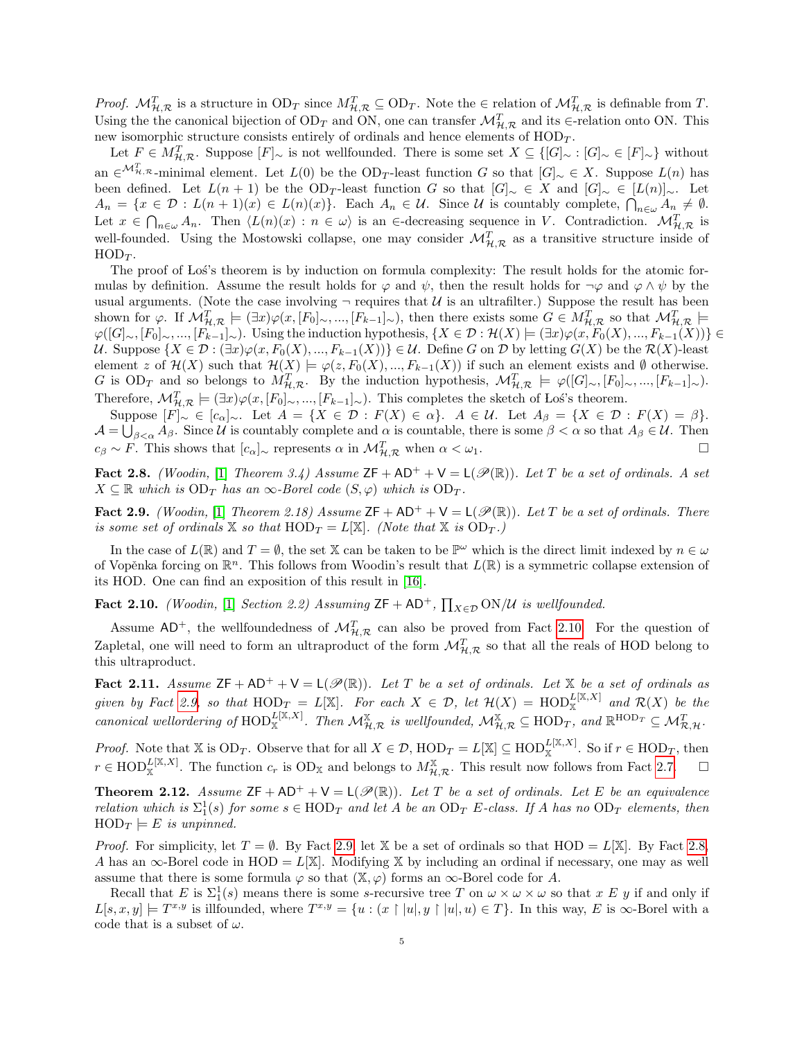*Proof.*  $\mathcal{M}_{\mathcal{H},\mathcal{R}}^T$  is a structure in  $OD_T$  since  $M_{\mathcal{H},\mathcal{R}}^T \subseteq OD_T$ . Note the  $\in$  relation of  $\mathcal{M}_{\mathcal{H},\mathcal{R}}^T$  is definable from T. Using the the canonical bijection of OD<sub>T</sub> and ON, one can transfer  $\mathcal{M}_{\mathcal{H},\mathcal{R}}^T$  and its  $\in$ -relation onto ON. This new isomorphic structure consists entirely of ordinals and hence elements of  $HOD_T$ .

Let  $F \in M_{\mathcal{H},\mathcal{R}}^T$ . Suppose  $[F]_{\sim}$  is not wellfounded. There is some set  $X \subseteq \{[G]_{\sim} : [G]_{\sim} \in [F]_{\sim}\}$  without an  $\in^{\mathcal{M}_{\mathcal{H},\mathcal{R}}^T}$ -minimal element. Let  $L(0)$  be the OD<sub>T</sub>-least function G so that  $[G]_{\sim} \in X$ . Suppose  $L(n)$  has been defined. Let  $L(n + 1)$  be the OD<sub>T</sub>-least function G so that  $|G|_n \in X$  and  $|G|_n \in [L(n)]_n$ . Let  $A_n = \{x \in \mathcal{D} : L(n+1)(x) \in L(n)(x)\}.$  Each  $A_n \in \mathcal{U}.$  Since  $\mathcal{U}$  is countably complete,  $\bigcap_{n \in \omega} A_n \neq \emptyset.$ Let  $x \in \bigcap_{n\in\omega} A_n$ . Then  $\langle L(n)(x) : n \in \omega \rangle$  is an  $\in$ -decreasing sequence in V. Contradiction.  $\mathcal{M}_{\mathcal{H},\mathcal{R}}^T$  is well-founded. Using the Mostowski collapse, one may consider  $\mathcal{M}_{\mathcal{H},\mathcal{R}}^T$  as a transitive structure inside of  $HOD_T$ .

The proof of Los's theorem is by induction on formula complexity: The result holds for the atomic formulas by definition. Assume the result holds for  $\varphi$  and  $\psi$ , then the result holds for  $\neg \varphi$  and  $\varphi \wedge \psi$  by the usual arguments. (Note the case involving  $\neg$  requires that  $\mathcal U$  is an ultrafilter.) Suppose the result has been shown for  $\varphi$ . If  $\mathcal{M}_{\mathcal{H},\mathcal{R}}^T \models (\exists x) \varphi(x,[F_0]_{\sim},..., [F_{k-1}]_{\sim})$ , then there exists some  $G \in M_{\mathcal{H},\mathcal{R}}^T$  so that  $\mathcal{M}_{\mathcal{H},\mathcal{R}}^T \models$  $\varphi([G]_{\sim}, [F_0]_{\sim},..., [F_{k-1}]_{\sim})$ . Using the induction hypothesis,  $\{X \in \mathcal{D} : \mathcal{H}(X) \models (\exists x) \varphi(x, F_0(X),..., F_{k-1}(X))\}$ U. Suppose  $\{X \in \mathcal{D} : (\exists x) \varphi(x, F_0(X), ..., F_{k-1}(X))\} \in \mathcal{U}$ . Define G on D by letting  $G(X)$  be the  $\mathcal{R}(X)$ -least element z of  $\mathcal{H}(X)$  such that  $\mathcal{H}(X) \models \varphi(z, F_0(X), ..., F_{k-1}(X))$  if such an element exists and  $\emptyset$  otherwise. G is  $OD_T$  and so belongs to  $M^T_{\mathcal{H},\mathcal{R}}$ . By the induction hypothesis,  $M^T_{\mathcal{H},\mathcal{R}} \models \varphi([G]_{\sim}, [F_0]_{\sim},..., [F_{k-1}]_{\sim}).$ Therefore,  $\mathcal{M}_{\mathcal{H},\mathcal{R}}^T \models (\exists x)\varphi(x,[F_0]_{\sim},..., [F_{k-1}]_{\sim}).$  This completes the sketch of Los's theorem.

Suppose  $[F]_{\sim} \in [c_{\alpha}]_{\sim}$ . Let  $A = \{X \in \mathcal{D} : F(X) \in \alpha\}$ .  $A \in \mathcal{U}$ . Let  $A_{\beta} = \{X \in \mathcal{D} : F(X) = \beta\}$ .  $\mathcal{A} = \bigcup_{\beta < \alpha} A_{\beta}$ . Since U is countably complete and  $\alpha$  is countable, there is some  $\beta < \alpha$  so that  $A_{\beta} \in \mathcal{U}$ . Then  $c_{\beta} \sim F$ . This shows that  $[c_{\alpha}]_{\sim}$  represents  $\alpha$  in  $\mathcal{M}_{\mathcal{H},\mathcal{R}}^T$  when  $\alpha < \omega_1$ .

<span id="page-4-3"></span>Fact 2.8. (Woodin, [\[1\]](#page-14-10) Theorem 3.4) Assume  $ZF + AD^+ + V = L(\mathscr{P}(\mathbb{R}))$ . Let T be a set of ordinals. A set  $X \subseteq \mathbb{R}$  which is  $OD_T$  has an  $\infty$ -Borel code  $(S, \varphi)$  which is  $OD_T$ .

<span id="page-4-2"></span>Fact 2.9. (Woodin, [\[1\]](#page-14-10) Theorem 2.18) Assume  $\mathsf{ZF} + \mathsf{AD}^+ + \mathsf{V} = \mathsf{L}(\mathscr{P}(\mathbb{R}))$ . Let T be a set of ordinals. There is some set of ordinals  $X$  so that  $HOD_T = L[X]$ . (Note that  $X$  is  $OD_T$ .)

In the case of  $L(\mathbb{R})$  and  $T = \emptyset$ , the set X can be taken to be  $\mathbb{P}^{\omega}$  which is the direct limit indexed by  $n \in \omega$ of Vopěnka forcing on  $\mathbb{R}^n$ . This follows from Woodin's result that  $L(\mathbb{R})$  is a symmetric collapse extension of its HOD. One can find an exposition of this result in [\[16\]](#page-14-11).

<span id="page-4-1"></span>Fact 2.10. (Woodin, [\[1\]](#page-14-10) Section 2.2) Assuming  $\mathsf{ZF} + \mathsf{AD}^+$ ,  $\prod_{X \in \mathcal{D}} \mathsf{ON}/\mathcal{U}$  is wellfounded.

Assume  $AD^+$ , the wellfoundedness of  $\mathcal{M}_{\mathcal{H},\mathcal{R}}^T$  can also be proved from Fact [2.10.](#page-4-1) For the question of Zapletal, one will need to form an ultraproduct of the form  $\mathcal{M}_{\mathcal{H},\mathcal{R}}^T$  so that all the reals of HOD belong to this ultraproduct.

<span id="page-4-4"></span>Fact 2.11. Assume  $ZF + AD^+ + V = L(\mathcal{P}(\mathbb{R}))$ . Let T be a set of ordinals. Let X be a set of ordinals as given by Fact [2.9,](#page-4-2) so that  $\text{HOD}_T = L[\mathbb{X}]$ . For each  $X \in \mathcal{D}$ , let  $\mathcal{H}(X) = \text{HOD}_{\mathbb{X}}^{L[X,X]}$  and  $\mathcal{R}(X)$  be the canonical wellordering of  $\text{HOD}_{\mathbb{X}}^{L[\mathbb{X},X]}$ . Then  $\mathcal{M}^{\mathbb{X}}_{\mathcal{H},\mathcal{R}}$  is wellfounded,  $\mathcal{M}^{\mathbb{X}}_{\mathcal{H},\mathcal{R}} \subseteq \text{HOD}_T$ , and  $\mathbb{R}^{\text{HOD}_T} \subseteq \mathcal{M}^T_{\mathcal{R},\mathcal{H}}$ .

*Proof.* Note that X is  $OD_T$ . Observe that for all  $X \in \mathcal{D}$ ,  $HOD_T = L[X] \subseteq HOD_X^{L[X,X]}$ . So if  $r \in HOD_T$ , then  $r \in \text{HOD}_{\mathbb{X}}^{L[\mathbb{X},X]}$ . The function  $c_r$  is  $OD_{\mathbb{X}}$  and belongs to  $M_{\mathcal{H},\mathcal{R}}^{\mathbb{X}}$ . This result now follows from Fact [2.7.](#page-3-0)  $\square$ 

<span id="page-4-0"></span>**Theorem 2.12.** Assume  $ZF + AD^+ + V = L(\mathscr{P}(\mathbb{R}))$ . Let T be a set of ordinals. Let E be an equivalence relation which is  $\Sigma_1^1(s)$  for some  $s \in \text{HOD}_T$  and let A be an  $\text{OD}_T$  E-class. If A has no  $\text{OD}_T$  elements, then  $HOD_T \models E$  is unpinned.

*Proof.* For simplicity, let  $T = \emptyset$ . By Fact [2.9,](#page-4-2) let X be a set of ordinals so that HOD = L[X]. By Fact [2.8,](#page-4-3) A has an  $\infty$ -Borel code in HOD = L[X]. Modifying X by including an ordinal if necessary, one may as well assume that there is some formula  $\varphi$  so that  $(\mathbb{X}, \varphi)$  forms an  $\infty$ -Borel code for A.

Recall that E is  $\Sigma_1^1(s)$  means there is some s-recursive tree T on  $\omega \times \omega \times \omega$  so that x E y if and only if  $L[s, x, y] \models T^{x,y}$  is illfounded, where  $T^{x,y} = \{u : (x \upharpoonright |u|, y \upharpoonright |u|, u) \in T\}$ . In this way, E is  $\infty$ -Borel with a code that is a subset of  $\omega$ .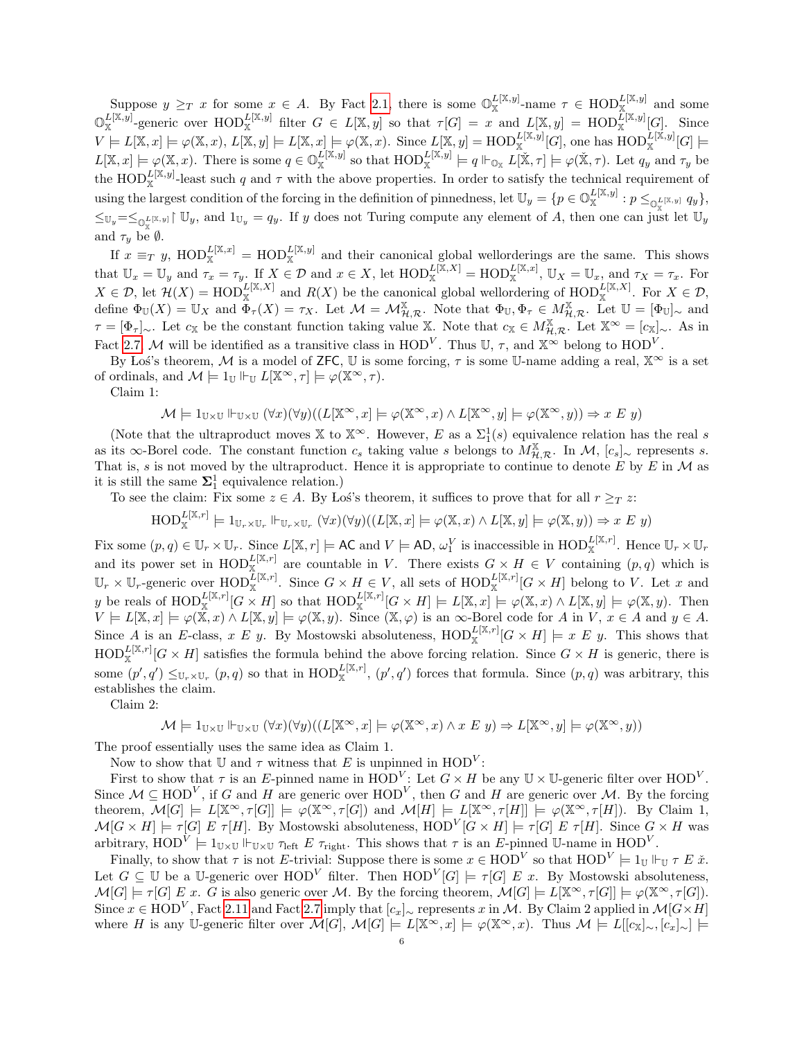Suppose  $y \geq_T x$  for some  $x \in A$ . By Fact [2.1,](#page-3-1) there is some  $\mathbb{O}_{\mathbb{X}}^{L[\mathbb{X},y]}$ -name  $\tau \in \text{HOD}_{\mathbb{X}}^{L[\mathbb{X},y]}$  and some  $\mathbb{O}_{\mathbb{X}}^{L[\mathbb{X},y]}$ -generic over  $\text{HOD}_{\mathbb{X}}^{L[\mathbb{X},y]}$  filter  $G \in L[\mathbb{X},y]$  so that  $\tau[G] = x$  and  $L[\mathbb{X},y] = \text{HOD}_{\mathbb{X}}^{L[\mathbb{X},y]}[G]$ . Since  $V = L[\mathbb{X}, x] \models \varphi(\mathbb{X}, x), L[\mathbb{X}, y] \models L[\mathbb{X}, x] \models \varphi(\mathbb{X}, x)$ . Since  $L[\mathbb{X}, y] = \text{HOD}_{\mathbb{X}}^{L[\mathbb{X}, y]}[G]$ , one has  $\text{HOD}_{\mathbb{X}}^{L[\mathbb{X}, y]}[G] \models$  $L[\mathbb{X},x] \models \varphi(\mathbb{X},x)$ . There is some  $q \in \mathbb{O}_{\mathbb{X}}^{L[\mathbb{X},y]}$  so that  $\text{HOD}_{\mathbb{X}}^{L[\mathbb{X},y]} \models q \Vdash_{\mathbb{O}_{\mathbb{X}}} L[\mathbb{X},\tau] \models \varphi(\mathbb{X},\tau)$ . Let  $q_y$  and  $\tau_y$  be the HOD $_{\mathbb{X}}^{L[X,y]}$ -least such q and  $\tau$  with the above properties. In order to satisfy the technical requirement of using the largest condition of the forcing in the definition of pinnedness, let  $\mathbb{U}_y = \{p \in \mathbb{O}_{\mathbb{X}}^{L[\mathbb{X},y]} : p \leq_{\mathbb{O}_{\mathbb{X}}^{L[\mathbb{X},y]}} q_y\},\$  $\leq_{\mathbb{U}_y}=\leq_{\mathbb{Q}_x^{L^{[\mathbb{X},y]}}}\upharpoonright \mathbb{U}_y$ , and  $1_{\mathbb{U}_y}=q_y$ . If y does not Turing compute any element of A, then one can just let  $\mathbb{U}_y$ and  $\tau_y$  be  $\emptyset$ .

If  $x \equiv_T y$ ,  $\text{HOD}_{\mathbb{X}}^{L[\mathbb{X},x]} = \text{HOD}_{\mathbb{X}}^{L[\mathbb{X},y]}$  and their canonical global wellorderings are the same. This shows that  $\mathbb{U}_x = \mathbb{U}_y$  and  $\tau_x = \tau_y$ . If  $X \in \mathcal{D}$  and  $x \in X$ , let  $\text{HOD}_X^{L[X,X]} = \text{HOD}_X^{L[X,x]}$ ,  $\mathbb{U}_X = \mathbb{U}_x$ , and  $\tau_X = \tau_x$ . For  $X \in \mathcal{D}$ , let  $\mathcal{H}(X) = \text{HOD}_{\mathbb{X}}^{L[X,X]}$  and  $R(X)$  be the canonical global wellordering of  $\text{HOD}_{\mathbb{X}}^{L[X,X]}$ . For  $X \in \mathcal{D}$ , define  $\Phi_{\mathbb{U}}(X) = \mathbb{U}_X$  and  $\widehat{\Phi}_{\tau}(X) = \tau_X$ . Let  $\mathcal{M} = \mathcal{M}_{\mathcal{H},\mathcal{R}}^{\mathbb{X}}$ . Note that  $\Phi_{\mathbb{U}}, \Phi_{\tau} \in M_{\mathcal{H},\mathcal{R}}^{\mathbb{X}}$ . Let  $\mathbb{U} = [\Phi_{\mathbb{U}}]_{\sim}$  and  $\tau = [\Phi_\tau]_{\sim}$ . Let  $c_{\mathbb{X}}$  be the constant function taking value X. Note that  $c_{\mathbb{X}} \in M_{\mathcal{H},\mathcal{R}}^{\mathbb{X}}$ . Let  $\mathbb{X}^{\infty} = [c_{\mathbb{X}}]_{\sim}$ . As in Fact [2.7,](#page-3-0) M will be identified as a transitive class in HOD<sup>V</sup>. Thus  $\mathbb{U}$ ,  $\tau$ , and  $\mathbb{X}^{\infty}$  belong to HOD<sup>V</sup>.

By Los's theorem, M is a model of ZFC, U is some forcing,  $\tau$  is some U-name adding a real,  $\mathbb{X}^{\infty}$  is a set of ordinals, and  $\mathcal{M} \models 1_{\mathbb{U}} \Vdash_{\mathbb{U}} L[\mathbb{X}^{\infty}, \tau] \models \varphi(\mathbb{X}^{\infty}, \tau)$ .

Claim 1:

$$
\mathcal{M} \models 1_{\mathbb{U} \times \mathbb{U}} \Vdash_{\mathbb{U} \times \mathbb{U}} (\forall x)(\forall y)((L[\mathbb{X}^\infty, x] \models \varphi(\mathbb{X}^\infty, x) \land L[\mathbb{X}^\infty, y] \models \varphi(\mathbb{X}^\infty, y)) \Rightarrow x \in \mathcal{Y})
$$

(Note that the ultraproduct moves X to  $\mathbb{X}^{\infty}$ . However, E as a  $\Sigma_1^1(s)$  equivalence relation has the real s as its ∞-Borel code. The constant function  $c_s$  taking value s belongs to  $M^{\mathbb{X}}_{\mathcal{H},\mathcal{R}}$ . In  $\mathcal{M}, [c_s]_{\sim}$  represents s. That is, s is not moved by the ultraproduct. Hence it is appropriate to continue to denote E by E in  $\mathcal M$  as it is still the same  $\Sigma^1_1$  equivalence relation.)

To see the claim: Fix some  $z \in A$ . By Los's theorem, it suffices to prove that for all  $r \geq_T z$ :

$$
\mathrm{HOD}^{L[\mathbb{X},r]}_{\mathbb{X}} \models 1_{\mathbb{U}_r \times \mathbb{U}_r} \Vdash_{\mathbb{U}_r \times \mathbb{U}_r} (\forall x)(\forall y)((L[\mathbb{X},x] \models \varphi(\mathbb{X},x) \land L[\mathbb{X},y] \models \varphi(\mathbb{X},y)) \Rightarrow x \in y)
$$

Fix some  $(p, q) \in \mathbb{U}_r \times \mathbb{U}_r$ . Since  $L[\mathbb{X}, r] \models \mathsf{AC}$  and  $V \models \mathsf{AD}, \omega_1^V$  is inaccessible in  $\mathrm{HOD}^{L[\mathbb{X}, r]}_{\mathbb{X}}$ . Hence  $\mathbb{U}_r \times \mathbb{U}_r$ and its power set in  $\text{HOD}_X^{L[X,r]}$  are countable in V. There exists  $G \times H \in V$  containing  $(p,q)$  which is  $\mathbb{U}_r \times \mathbb{U}_r$ -generic over  $\text{HOD}_X^{\tilde{L}[X,r]}$ . Since  $G \times H \in V$ , all sets of  $\text{HOD}_X^{L[X,r]}[G \times H]$  belong to V. Let x and y be reals of  $\text{HOD}_{\mathbb{X}}^{L[\mathbb{X},r]}[G \times H]$  so that  $\text{HOD}_{\mathbb{X}}^{L[\mathbb{X},r]}[G \times H] \models L[\mathbb{X},x] \models \varphi(\mathbb{X},x) \wedge L[\mathbb{X},y] \models \varphi(\mathbb{X},y)$ . Then  $V = L[\mathbb{X}, x] \models \varphi(\mathbb{X}, x) \wedge L[\mathbb{X}, y] \models \varphi(\mathbb{X}, y)$ . Since  $(\mathbb{X}, \varphi)$  is an  $\infty$ -Borel code for A in  $V, x \in A$  and  $y \in A$ . Since A is an E-class, x E y. By Mostowski absoluteness,  $HOD_{\mathbb{X}}^{L[\mathbb{X},r]}[G \times H] \models x E y$ . This shows that  $HOD_{\mathbb{X}}^{L[\mathbb{X},r]}[G \times H]$  satisfies the formula behind the above forcing relation. Since  $G \times H$  is generic, there is some  $(p', q') \leq_{\mathbb{U}_r \times \mathbb{U}_r} (p, q)$  so that in  $\text{HOD}_{\mathbb{X}}^{L[\mathbb{X}, r]}$ ,  $(p', q')$  forces that formula. Since  $(p, q)$  was arbitrary, this establishes the claim.

Claim 2:

$$
\mathcal{M} \models 1_{\mathbb{U} \times \mathbb{U}} \Vdash_{\mathbb{U} \times \mathbb{U}} (\forall x)(\forall y)((L[\mathbb{X}^\infty, x] \models \varphi(\mathbb{X}^\infty, x) \land x \mathrel{E} y) \Rightarrow L[\mathbb{X}^\infty, y] \models \varphi(\mathbb{X}^\infty, y))
$$

The proof essentially uses the same idea as Claim 1.

Now to show that U and  $\tau$  witness that E is unpinned in  $\mathrm{HOD}^V$ :

First to show that  $\tau$  is an E-pinned name in HOD<sup>V</sup>: Let  $G \times H$  be any  $\mathbb{U} \times \mathbb{U}$ -generic filter over HOD<sup>V</sup>. Since  $\mathcal{M} \subseteq \text{HOD}^V$ , if G and H are generic over  $\text{HOD}^V$ , then G and H are generic over M. By the forcing theorem,  $\mathcal{M}[G] \models L[\mathbb{X}^{\infty}, \tau[G]] \models \varphi(\mathbb{X}^{\infty}, \tau[G])$  and  $\mathcal{M}[H] \models L[\mathbb{X}^{\infty}, \tau[H]] \models \varphi(\mathbb{X}^{\infty}, \tau[H])$ . By Claim 1,  $\mathcal{M}[G \times H] \models \tau[G] \mathrel{E} \tau[H]$ . By Mostowski absoluteness,  $\mathrm{HOD}^V[G \times H] \models \tau[G] \mathrel{E} \tau[H]$ . Since  $G \times H$  was arbitrary,  $\text{HOD}^V \models 1_{\mathbb{U}\times\mathbb{U}} \Vdash_{\mathbb{U}\times\mathbb{U}} \tau_{\text{left}} E \tau_{\text{right}}$ . This shows that  $\tau$  is an E-pinned U-name in  $\text{HOD}^V$ .

Finally, to show that  $\tau$  is not E-trivial: Suppose there is some  $x \in \text{HOD}^V$  so that  $\text{HOD}^V \models 1_{\mathbb{U}} \Vdash_{\mathbb{U}} \tau E \check{x}$ . Let  $G \subseteq \mathbb{U}$  be a U-generic over  $\text{HOD}^V$  filter. Then  $\text{HOD}^V[G] \models \tau[G] E x$ . By Mostowski absoluteness,  $\mathcal{M}[G] \models \tau[G] \mathcal{E} \mathcal{X}, G$  is also generic over M. By the forcing theorem,  $\mathcal{M}[G] \models L[\mathbb{X}^{\infty}, \tau[G]] \models \varphi(\mathbb{X}^{\infty}, \tau[G])$ . Since  $x \in \text{HOD}^V$ , Fact [2.11](#page-4-4) and Fact [2.7](#page-3-0) imply that  $[c_x]_{\sim}$  represents  $x$  in  $\mathcal{M}$ . By Claim 2 applied in  $\mathcal{M}[G \times H]$ where H is any U-generic filter over  $\mathcal{M}[G], \mathcal{M}[G] \models L[\mathbb{X}^{\infty},x] \models \varphi(\mathbb{X}^{\infty},x)$ . Thus  $\mathcal{M} \models L[[c_{\mathbb{X}}]_{\sim}, [c_x]_{\sim}] \models$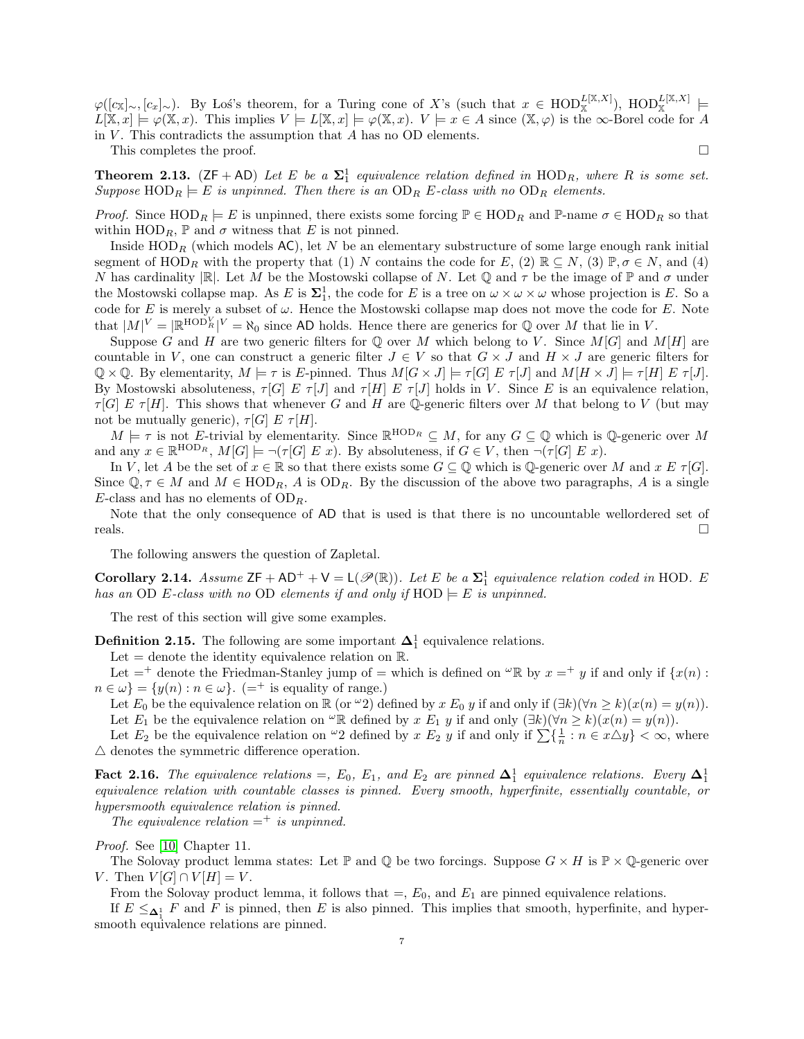$\varphi([c_{\mathbb{X}}]_{\sim}, [c_x]_{\sim})$ . By Los's theorem, for a Turing cone of X's (such that  $x \in \text{HOD}_{\mathbb{X}}^{L[\mathbb{X},X]}$ ),  $\text{HOD}_{\mathbb{X}}^{L[\mathbb{X},X]}$   $\models$  $L[\mathbb{X},x] \models \varphi(\mathbb{X},x)$ . This implies  $V \models L[\mathbb{X},x] \models \varphi(\mathbb{X},x)$ .  $V \models x \in A$  since  $(\mathbb{X},\varphi)$  is the  $\infty$ -Borel code for A in  $V$ . This contradicts the assumption that  $A$  has no OD elements.

This completes the proof.  $\Box$ 

<span id="page-6-1"></span>**Theorem 2.13.** ( $ZF + AD$ ) Let E be a  $\Sigma_1^1$  equivalence relation defined in  $HOD_R$ , where R is some set. Suppose  $\text{HOD}_R \models E$  is unpinned. Then there is an  $\text{OD}_R$  E-class with no  $\text{OD}_R$  elements.

*Proof.* Since  $\text{HOD}_R \models E$  is unpinned, there exists some forcing  $\mathbb{P} \in \text{HOD}_R$  and  $\mathbb{P}\text{-name } \sigma \in \text{HOD}_R$  so that within  $\text{HOD}_R$ ,  $\mathbb P$  and  $\sigma$  witness that E is not pinned.

Inside  $HOD_R$  (which models  $AC$ ), let N be an elementary substructure of some large enough rank initial segment of HOD<sub>R</sub> with the property that (1) N contains the code for E, (2)  $\mathbb{R} \subseteq N$ , (3)  $\mathbb{P}, \sigma \in N$ , and (4) N has cardinality  $|\mathbb{R}|$ . Let M be the Mostowski collapse of N. Let Q and  $\tau$  be the image of P and  $\sigma$  under the Mostowski collapse map. As E is  $\Sigma_1^1$ , the code for E is a tree on  $\omega \times \omega \times \omega$  whose projection is E. So a code for E is merely a subset of  $\omega$ . Hence the Mostowski collapse map does not move the code for E. Note that  $|M|^V = |\mathbb{R}^{HOD_K^V}|^V = \aleph_0$  since AD holds. Hence there are generics for Q over M that lie in V.

Suppose G and H are two generic filters for  $\mathbb Q$  over M which belong to V. Since  $M[G]$  and  $M[H]$  are countable in V, one can construct a generic filter  $J \in V$  so that  $G \times J$  and  $H \times J$  are generic filters for  $\mathbb{Q} \times \mathbb{Q}$ . By elementarity,  $M \models \tau$  is E-pinned. Thus  $M[G \times J] \models \tau[G]$  E  $\tau[J]$  and  $M[H \times J] \models \tau[H]$  E  $\tau[J]$ . By Mostowski absoluteness,  $\tau[G] E \tau[J]$  and  $\tau[H] E \tau[J]$  holds in V. Since E is an equivalence relation,  $\tau[G]$  E  $\tau[H]$ . This shows that whenever G and H are Q-generic filters over M that belong to V (but may not be mutually generic),  $\tau[G] E \tau[H]$ .

 $M \models \tau$  is not E-trivial by elementarity. Since  $\mathbb{R}^{\text{HOD}_R} \subseteq M$ , for any  $G \subseteq \mathbb{Q}$  which is  $\mathbb{Q}$ -generic over M and any  $x \in \mathbb{R}^{\text{HOD}_R}$ ,  $M[G] \models \neg(\tau[G] \ E \ x)$ . By absoluteness, if  $G \in V$ , then  $\neg(\tau[G] \ E \ x)$ .

In V, let A be the set of  $x \in \mathbb{R}$  so that there exists some  $G \subseteq \mathbb{Q}$  which is  $\mathbb{Q}$ -generic over M and  $x \in \tau[G]$ . Since  $\mathbb{Q}, \tau \in M$  and  $M \in \text{HOD}_R$ , A is  $\text{OD}_R$ . By the discussion of the above two paragraphs, A is a single E-class and has no elements of  $OD_R$ .

Note that the only consequence of AD that is used is that there is no uncountable wellordered set of reals.

The following answers the question of Zapletal.

<span id="page-6-2"></span>**Corollary 2.14.** Assume  $ZF + AD^+ + V = L(\mathcal{P}(\mathbb{R}))$ . Let E be a  $\Sigma_1^1$  equivalence relation coded in HOD. E has an OD E-class with no OD elements if and only if  $HOD \models E$  is unpinned.

The rest of this section will give some examples.

<span id="page-6-0"></span>**Definition 2.15.** The following are some important  $\Delta_1^1$  equivalence relations.

Let  $=$  denote the identity equivalence relation on  $\mathbb{R}$ .

Let  $=$ <sup>+</sup> denote the Friedman-Stanley jump of = which is defined on  $\omega \mathbb{R}$  by  $x =$ <sup>+</sup> y if and only if  $\{x(n):$  $n \in \omega$  = { $y(n)$  :  $n \in \omega$ }. (=<sup>+</sup> is equality of range.)

Let  $E_0$  be the equivalence relation on  $\mathbb R$  (or  $\infty$ 2) defined by x  $E_0$  y if and only if  $(\exists k)(\forall n \ge k)(x(n) = y(n)).$ Let  $E_1$  be the equivalence relation on  $\omega \mathbb{R}$  defined by  $x E_1 y$  if and only  $(\exists k)(\forall n \ge k)(x(n) = y(n)).$ 

Let  $E_2$  be the equivalence relation on "2 defined by  $x E_2 y$  if and only if  $\sum {\frac{1}{n} : n \in x \triangle y} < \infty$ , where  $\triangle$  denotes the symmetric difference operation.

<span id="page-6-3"></span>**Fact 2.16.** The equivalence relations =,  $E_0$ ,  $E_1$ , and  $E_2$  are pinned  $\Delta_1^1$  equivalence relations. Every  $\Delta_1^1$ equivalence relation with countable classes is pinned. Every smooth, hyperfinite, essentially countable, or hypersmooth equivalence relation is pinned.

The equivalence relation  $=$ <sup>+</sup> is unpinned.

Proof. See [\[10\]](#page-14-15) Chapter 11.

The Solovay product lemma states: Let  $\mathbb P$  and  $\mathbb Q$  be two forcings. Suppose  $G \times H$  is  $\mathbb P \times \mathbb Q$ -generic over V. Then  $V[G] \cap V[H] = V$ .

From the Solovay product lemma, it follows that  $=$ ,  $E_0$ , and  $E_1$  are pinned equivalence relations.

If  $E \leq_{\mathbf{\Delta}_1^1} F$  and F is pinned, then E is also pinned. This implies that smooth, hyperfinite, and hypersmooth equivalence relations are pinned.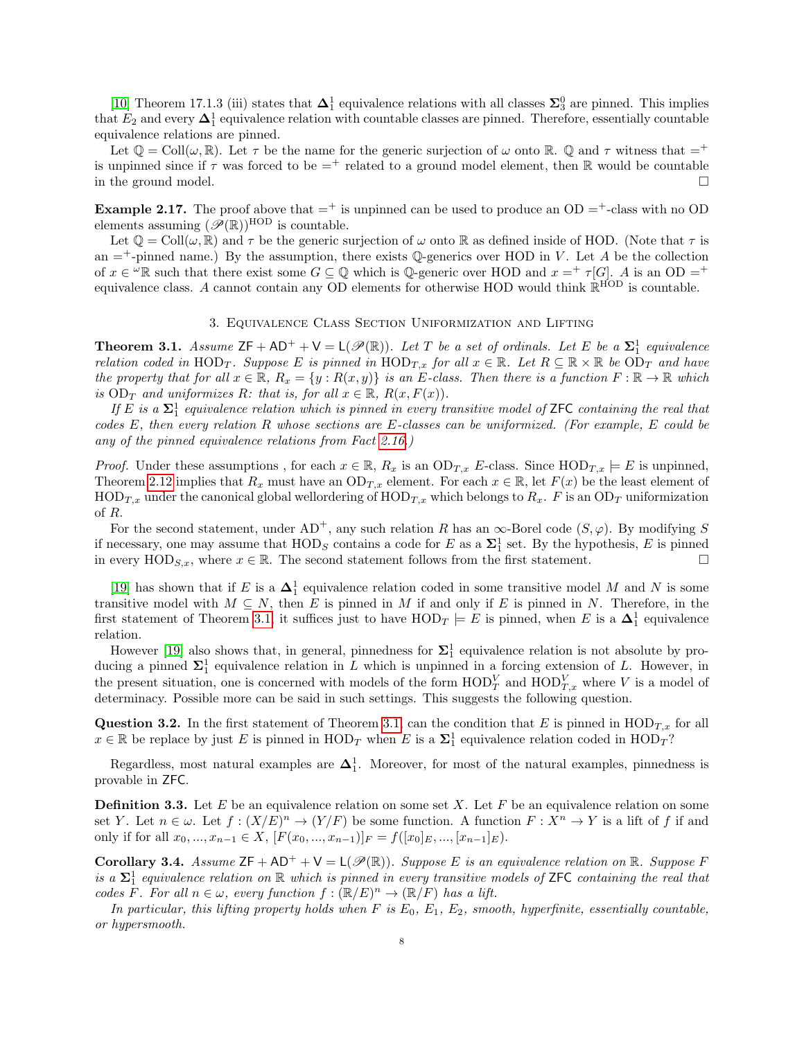[\[10\]](#page-14-15) Theorem 17.1.3 (iii) states that  $\Delta_1^1$  equivalence relations with all classes  $\Sigma_3^0$  are pinned. This implies that  $E_2$  and every  $\Delta_1^1$  equivalence relation with countable classes are pinned. Therefore, essentially countable equivalence relations are pinned.

Let  $\mathbb{Q} = \text{Coll}(\omega, \mathbb{R})$ . Let  $\tau$  be the name for the generic surjection of  $\omega$  onto  $\mathbb{R}$ .  $\mathbb{Q}$  and  $\tau$  witness that  $=$ is unpinned since if  $\tau$  was forced to be  $=$  related to a ground model element, then R would be countable in the ground model.

**Example 2.17.** The proof above that  $=$ <sup>+</sup> is unpinned can be used to produce an OD  $=$ <sup>+</sup>-class with no OD elements assuming  $(\mathscr{P}(\mathbb{R}))^{\text{HOD}}$  is countable.

Let  $\mathbb{Q} = \text{Coll}(\omega, \mathbb{R})$  and  $\tau$  be the generic surjection of  $\omega$  onto  $\mathbb{R}$  as defined inside of HOD. (Note that  $\tau$  is an  $=$ <sup>+</sup>-pinned name.) By the assumption, there exists Q-generics over HOD in V. Let A be the collection of  $x \in \mathbb{R}$  such that there exist some  $G \subseteq \mathbb{Q}$  which is  $\mathbb{Q}$ -generic over HOD and  $x = \tau |G|$ . A is an OD  $=$ equivalence class. A cannot contain any OD elements for otherwise HOD would think  $\mathbb{R}^{\text{HOD}}$  is countable.

## 3. Equivalence Class Section Uniformization and Lifting

<span id="page-7-0"></span>**Theorem 3.1.** Assume  $ZF + AD^+ + V = L(\mathcal{P}(\mathbb{R}))$ . Let T be a set of ordinals. Let E be a  $\Sigma_1^1$  equivalence relation coded in HODT. Suppose E is pinned in HODT x for all  $x \in \mathbb{R}$ . Let  $R \subseteq \mathbb{R} \times \mathbb{R}$  be ODT and have the property that for all  $x \in \mathbb{R}$ ,  $R_x = \{y : R(x, y)\}\$ is an E-class. Then there is a function  $F : \mathbb{R} \to \mathbb{R}$  which is  $OD_T$  and uniformizes R: that is, for all  $x \in \mathbb{R}$ ,  $R(x, F(x))$ .

If E is a  $\Sigma^1_1$  equivalence relation which is pinned in every transitive model of ZFC containing the real that codes E, then every relation R whose sections are E-classes can be uniformized. (For example, E could be any of the pinned equivalence relations from Fact [2.16.](#page-6-3))

*Proof.* Under these assumptions, for each  $x \in \mathbb{R}$ ,  $R_x$  is an  $OD_{T,x}$  E-class. Since  $HOD_{T,x} \models E$  is unpinned, Theorem [2.12](#page-4-0) implies that  $R_x$  must have an  $OD_{T,x}$  element. For each  $x \in \mathbb{R}$ , let  $F(x)$  be the least element of  $HOD_{T,x}$  under the canonical global wellordering of  $HOD_{T,x}$  which belongs to  $R_x$ . F is an  $OD_T$  uniformization of R.

For the second statement, under AD<sup>+</sup>, any such relation R has an  $\infty$ -Borel code (S,  $\varphi$ ). By modifying S if necessary, one may assume that  $\text{HOD}_S$  contains a code for E as a  $\Sigma_1^1$  set. By the hypothesis, E is pinned in every HOD<sub>S,x</sub>, where  $x \in \mathbb{R}$ . The second statement follows from the first statement.

[\[19\]](#page-14-14) has shown that if E is a  $\Delta_1^1$  equivalence relation coded in some transitive model M and N is some transitive model with  $M \subseteq N$ , then E is pinned in M if and only if E is pinned in N. Therefore, in the first statement of Theorem [3.1,](#page-7-0) it suffices just to have  $HOD_T \models E$  is pinned, when E is a  $\Delta_1^1$  equivalence relation.

However [\[19\]](#page-14-14) also shows that, in general, pinnedness for  $\Sigma_1^1$  equivalence relation is not absolute by producing a pinned  $\Sigma_1^1$  equivalence relation in L which is unpinned in a forcing extension of L. However, in the present situation, one is concerned with models of the form  $\text{HOD}_T^V$  and  $\text{HOD}_{T,x}^V$  where V is a model of determinacy. Possible more can be said in such settings. This suggests the following question.

**Question 3.2.** In the first statement of Theorem [3.1,](#page-7-0) can the condition that E is pinned in  $\text{HOD}_{T,x}$  for all  $x \in \mathbb{R}$  be replace by just E is pinned in  $\text{HOD}_T$  when E is a  $\Sigma_1^1$  equivalence relation coded in  $\text{HOD}_T$ ?

Regardless, most natural examples are  $\Delta_1^1$ . Moreover, for most of the natural examples, pinnedness is provable in ZFC.

**Definition 3.3.** Let E be an equivalence relation on some set X. Let F be an equivalence relation on some set Y. Let  $n \in \omega$ . Let  $f: (X/E)^n \to (Y/F)$  be some function. A function  $F: X^n \to Y$  is a lift of f if and only if for all  $x_0, ..., x_{n-1} \in X$ ,  $[F(x_0, ..., x_{n-1})]_F = f([x_0]_E, ..., [x_{n-1}]_E)$ .

**Corollary 3.4.** Assume  $\mathsf{ZF} + \mathsf{AD}^+ + \mathsf{V} = \mathsf{L}(\mathscr{P}(\mathbb{R}))$ . Suppose E is an equivalence relation on R. Suppose F is a  $\Sigma_1^1$  equivalence relation on R which is pinned in every transitive models of ZFC containing the real that codes  $\overline{F}$ . For all  $n \in \omega$ , every function  $f: (\mathbb{R}/E)^n \to (\mathbb{R}/F)$  has a lift.

In particular, this lifting property holds when F is  $E_0$ ,  $E_1$ ,  $E_2$ , smooth, hyperfinite, essentially countable, or hypersmooth.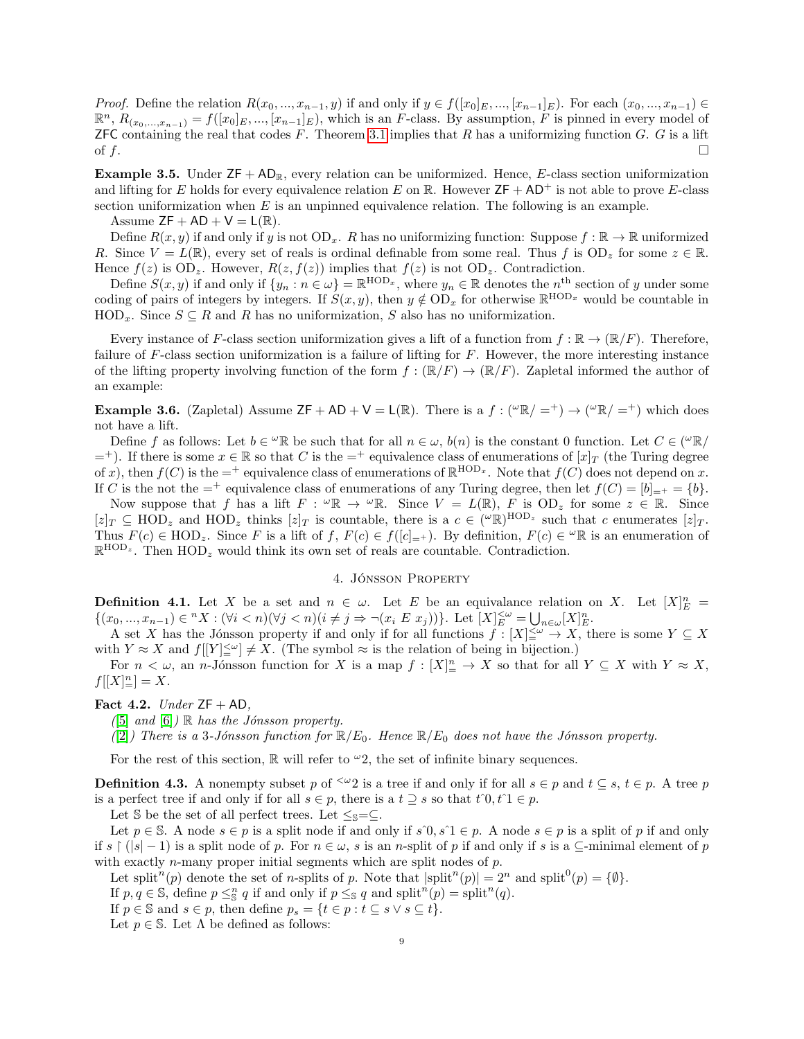*Proof.* Define the relation  $R(x_0, ..., x_{n-1}, y)$  if and only if  $y \in f([x_0]_E, ..., [x_{n-1}]_E)$ . For each  $(x_0, ..., x_{n-1}) \in$  $\mathbb{R}^n$ ,  $R_{(x_0,...,x_{n-1})} = f([x_0]_E,...,[x_{n-1}]_E)$ , which is an F-class. By assumption, F is pinned in every model of ZFC containing the real that codes  $F$ . Theorem [3.1](#page-7-0) implies that  $R$  has a uniformizing function  $G$ .  $G$  is a lift of  $f$ .

**Example 3.5.** Under  $\mathsf{ZF} + \mathsf{AD}_\mathbb{R}$ , every relation can be uniformized. Hence, E-class section uniformization and lifting for E holds for every equivalence relation E on R. However  $\mathsf{ZF} + \mathsf{AD}^+$  is not able to prove E-class section uniformization when  $E$  is an unpinned equivalence relation. The following is an example.

Assume  $ZF + AD + V = L(\mathbb{R})$ .

Define  $R(x, y)$  if and only if y is not  $OD_x$ . R has no uniformizing function: Suppose  $f : \mathbb{R} \to \mathbb{R}$  uniformized R. Since  $V = L(\mathbb{R})$ , every set of reals is ordinal definable from some real. Thus f is  $OD_z$  for some  $z \in \mathbb{R}$ . Hence  $f(z)$  is OD<sub>z</sub>. However,  $R(z, f(z))$  implies that  $f(z)$  is not OD<sub>z</sub>. Contradiction.

Define  $S(x, y)$  if and only if  $\{y_n : n \in \omega\} = \mathbb{R}^{\text{HOD}_x}$ , where  $y_n \in \mathbb{R}$  denotes the  $n^{\text{th}}$  section of y under some coding of pairs of integers by integers. If  $S(x, y)$ , then  $y \notin OD_x$  for otherwise  $\mathbb{R}^{\text{HOD}_x}$  would be countable in  $HOD<sub>x</sub>$ . Since  $S \subseteq R$  and R has no uniformization, S also has no uniformization.

Every instance of F-class section uniformization gives a lift of a function from  $f : \mathbb{R} \to (\mathbb{R}/F)$ . Therefore, failure of F-class section uniformization is a failure of lifting for F. However, the more interesting instance of the lifting property involving function of the form  $f : (\mathbb{R}/F) \to (\mathbb{R}/F)$ . Zapletal informed the author of an example:

**Example 3.6.** (Zapletal) Assume  $ZF + AD + V = L(\mathbb{R})$ . There is a  $f : (\mathbb{R}/\mathbb{R}) \to (\mathbb{R}/\mathbb{R}/\mathbb{R})$  which does not have a lift.

Define f as follows: Let  $b \in \mathbb{R}$  be such that for all  $n \in \omega$ ,  $b(n)$  is the constant 0 function. Let  $C \in (\mathbb{R}^n)$  $=$ +). If there is some  $x \in \mathbb{R}$  so that C is the  $=$ + equivalence class of enumerations of  $[x]_T$  (the Turing degree of x), then  $f(C)$  is the  $=$  + equivalence class of enumerations of  $\mathbb{R}^{\text{HOD}_x}$ . Note that  $f(C)$  does not depend on x. If C is the not the  $=$ <sup>+</sup> equivalence class of enumerations of any Turing degree, then let  $f(C) = [b]_{=+} = \{b\}$ .

Now suppose that f has a lift  $F: \omega \mathbb{R} \to \omega \mathbb{R}$ . Since  $V = L(\mathbb{R})$ , F is  $OD_z$  for some  $z \in \mathbb{R}$ . Since  $[z]_T \subseteq \text{HOD}_z$  and  $\text{HOD}_z$  thinks  $[z]_T$  is countable, there is a  $c \in (e \mathbb{R})^{\text{HOD}_z}$  such that c enumerates  $[z]_T$ . Thus  $F(c) \in \text{HOD}_z$ . Since F is a lift of f,  $F(c) \in f([c]_{=+})$ . By definition,  $F(c) \in \mathcal{L}$  is an enumeration of  $\mathbb{R}^{\text{HOD}_z}$ . Then  $\text{HOD}_z$  would think its own set of reals are countable. Contradiction.

#### 4. JÓNSSON PROPERTY

<span id="page-8-0"></span>**Definition 4.1.** Let X be a set and  $n \in \omega$ . Let E be an equivalance relation on X. Let  $[X]_E^n =$  $\{(x_0, ..., x_{n-1}) \in {}^n X : (\forall i < n)(\forall j < n)(i \neq j \Rightarrow \neg(x_i \ E \ x_j))\}\.$  Let  $[X]_E^{\leq \omega} = \bigcup_{n \in \omega} [X]_E^n$ .

A set X has the Jónsson property if and only if for all functions  $f : [X] \leq^{\omega} \to X$ , there is some  $Y \subseteq X$ with  $Y \approx X$  and  $f[[Y] \leq \omega] \neq X$ . (The symbol  $\approx$  is the relation of being in bijection.)

For  $n < \omega$ , an *n*-Jónsson function for X is a map  $f : [X]_{\equiv}^n \to X$  so that for all  $Y \subseteq X$  with  $Y \approx X$ ,  $f[[X]]_{=}^n] = X.$ 

<span id="page-8-2"></span>Fact 4.2. Under  $ZF + AD$ ,

([\[5\]](#page-14-5) and [\[6\]](#page-14-4))  $\mathbb R$  has the Jónsson property.

([\[2\]](#page-14-6)) There is a 3-Jónsson function for  $\mathbb{R}/E_0$ . Hence  $\mathbb{R}/E_0$  does not have the Jónsson property.

For the rest of this section,  $\mathbb R$  will refer to  $\omega_2$ , the set of infinite binary sequences.

<span id="page-8-1"></span>**Definition 4.3.** A nonempty subset p of  $\leq \omega_2$  is a tree if and only if for all  $s \in p$  and  $t \subseteq s$ ,  $t \in p$ . A tree p is a perfect tree if and only if for all  $s \in p$ , there is a  $t \supseteq s$  so that  $t \hat{\;} 0, t \hat{\;} 1 \in p$ .

Let S be the set of all perfect trees. Let  $\leq_{\mathbb{S}}=\subseteq$ .

Let  $p \in \mathbb{S}$ . A node  $s \in p$  is a split node if and only if  $s \hat{\;} 0, s \hat{\;} 1 \in p$ . A node  $s \in p$  is a split of p if and only if s  $\restriction$  (|s| − 1) is a split node of p. For  $n \in \omega$ , s is an n-split of p if and only if s is a ⊆-minimal element of p with exactly *n*-many proper initial segments which are split nodes of  $p$ .

Let split<sup>n</sup>(p) denote the set of n-splits of p. Note that  $|\text{split}^n(p)| = 2^n$  and  $\text{split}^0(p) = \{\emptyset\}.$ 

If  $p, q \in \mathbb{S}$ , define  $p \leq_{\mathbb{S}}^n q$  if and only if  $p \leq_{\mathbb{S}} q$  and  $\text{split}^n(p) = \text{split}^n(q)$ .

If  $p \in \mathbb{S}$  and  $s \in p$ , then define  $p_s = \{t \in p : t \subseteq s \vee s \subseteq t\}.$ 

Let  $p \in \mathbb{S}$ . Let  $\Lambda$  be defined as follows: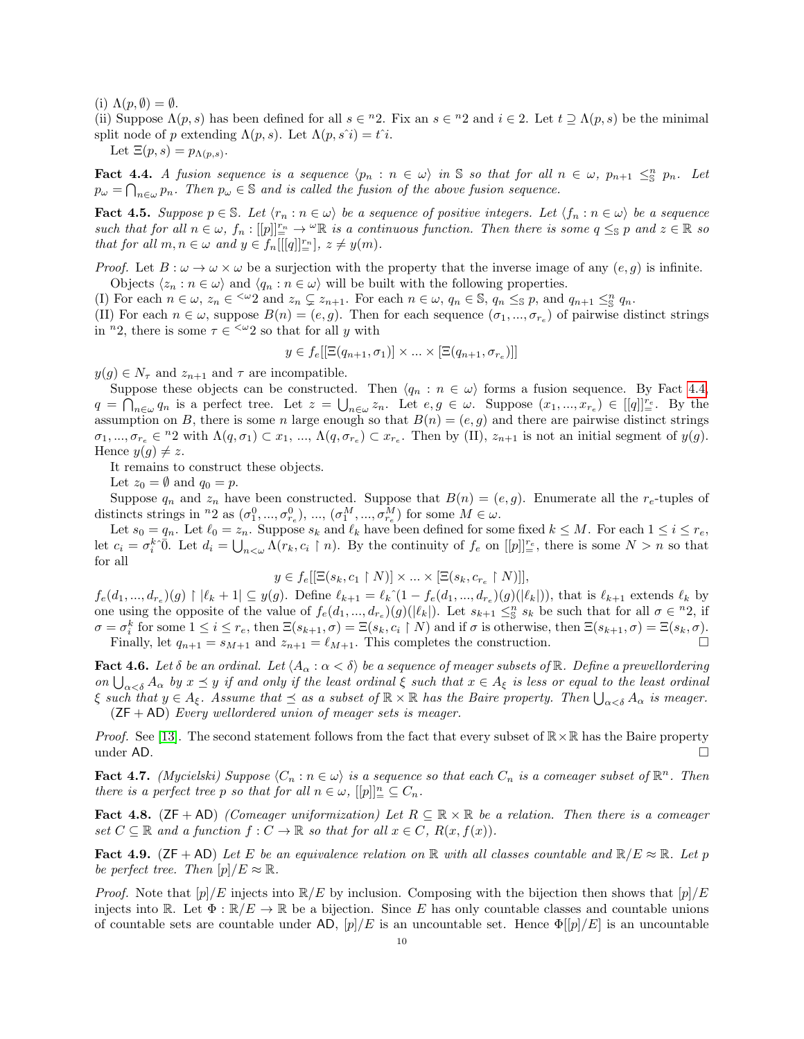(i)  $\Lambda(p, \emptyset) = \emptyset$ .

(ii) Suppose  $\Lambda(p,s)$  has been defined for all  $s \in {}^n2$ . Fix an  $s \in {}^n2$  and  $i \in 2$ . Let  $t \supseteq \Lambda(p,s)$  be the minimal split node of p extending  $\Lambda(p,s)$ . Let  $\Lambda(p,s^i) = t^i i$ .

Let 
$$
\Xi(p, s) = p_{\Lambda(p, s)}
$$
.

<span id="page-9-0"></span>**Fact 4.4.** A fusion sequence is a sequence  $\langle p_n : n \in \omega \rangle$  in S so that for all  $n \in \omega$ ,  $p_{n+1} \leq_S^n p_n$ . Let  $p_{\omega} = \bigcap_{n \in \omega} p_n$ . Then  $p_{\omega} \in \mathbb{S}$  and is called the fusion of the above fusion sequence.

<span id="page-9-4"></span>**Fact 4.5.** Suppose  $p \in \mathbb{S}$ . Let  $\langle r_n : n \in \omega \rangle$  be a sequence of positive integers. Let  $\langle f_n : n \in \omega \rangle$  be a sequence such that for all  $n \in \omega$ ,  $f_n : [[p]]_{\equiv}^r \to \omega \mathbb{R}$  is a continuous function. Then there is some  $q \leq_{\mathbb{S}} p$  and  $z \in \mathbb{R}$  so that for all  $m, n \in \omega$  and  $y \in f_n[[[q]]_{=}^{r_n}], z \neq y(m)$ .

*Proof.* Let  $B: \omega \to \omega \times \omega$  be a surjection with the property that the inverse image of any  $(e, q)$  is infinite. Objects  $\langle z_n : n \in \omega \rangle$  and  $\langle q_n : n \in \omega \rangle$  will be built with the following properties.

(I) For each  $n \in \omega$ ,  $z_n \in \infty$  and  $z_n \subsetneq z_{n+1}$ . For each  $n \in \omega$ ,  $q_n \in \mathbb{S}$ ,  $q_n \leq_{\mathbb{S}} p$ , and  $q_{n+1} \leq_{\mathbb{S}}^n q_n$ . (II) For each  $n \in \omega$ , suppose  $B(n) = (e, g)$ . Then for each sequence  $(\sigma_1, ..., \sigma_{r_e})$  of pairwise distinct strings in <sup>n</sup>2, there is some  $\tau \in \frac{<\omega_2}{<\omega_2}$  so that for all y with

$$
y \in f_e[[\Xi(q_{n+1}, \sigma_1)] \times ... \times [\Xi(q_{n+1}, \sigma_{r_e})]]
$$

 $y(g) \in N_{\tau}$  and  $z_{n+1}$  and  $\tau$  are incompatible.

Suppose these objects can be constructed. Then  $\langle q_n : n \in \omega \rangle$  forms a fusion sequence. By Fact [4.4,](#page-9-0)  $q = \bigcap_{n \in \omega} q_n$  is a perfect tree. Let  $z = \bigcup_{n \in \omega} z_n$ . Let  $e, g \in \omega$ . Suppose  $(x_1, ..., x_{r_e}) \in [[q]]_{\equiv}^{r_e}$ . By the assumption on B, there is some n large enough so that  $B(n) = (e, g)$  and there are pairwise distinct strings  $\sigma_1, ..., \sigma_{r_e} \in {}^{n_2}$  with  $\Lambda(q, \sigma_1) \subset x_1, ..., \Lambda(q, \sigma_{r_e}) \subset x_{r_e}$ . Then by (II),  $z_{n+1}$  is not an initial segment of  $y(g)$ . Hence  $y(g) \neq z$ .

It remains to construct these objects.

Let  $z_0 = \emptyset$  and  $q_0 = p$ .

Suppose  $q_n$  and  $z_n$  have been constructed. Suppose that  $B(n) = (e, g)$ . Enumerate all the  $r_e$ -tuples of distincts strings in <sup>n</sup>2 as  $(\sigma_1^0, ..., \sigma_{r_e}^0), ..., (\sigma_1^M, ..., \sigma_{r_e}^M)$  for some  $M \in \omega$ .

Let  $s_0 = q_n$ . Let  $\ell_0 = z_n$ . Suppose  $s_k$  and  $\ell_k$  have been defined for some fixed  $k \leq M$ . For each  $1 \leq i \leq r_e$ , let  $c_i = \sigma_i^{k \n\wedge \overline{0}}$ . Let  $d_i = \bigcup_{n \leq \omega} \Lambda(r_k, c_i \upharpoonright n)$ . By the continuity of  $f_e$  on  $[[p]]_{\equiv}^{r_e}$ , there is some  $N > n$  so that for all

 $y \in f_e[[\Xi(s_k, c_1 \upharpoonright N)] \times ... \times [\Xi(s_k, c_{r_e} \upharpoonright N)]],$ 

 $f_e(d_1, ..., d_{r_e})(g) \upharpoonright |\ell_k + 1| \subseteq y(g)$ . Define  $\ell_{k+1} = \ell_k \hat{i}(1 - f_e(d_1, ..., d_{r_e})(g)(|\ell_k|))$ , that is  $\ell_{k+1}$  extends  $\ell_k$  by one using the opposite of the value of  $f_e(d_1, ..., d_{r_e})(g)(|\ell_k|)$ . Let  $s_{k+1} \leq_s s_k$  be such that for all  $\sigma \in {}^{\text{n}}2$ , if  $\sigma = \sigma_i^k$  for some  $1 \le i \le r_e$ , then  $\Xi(s_{k+1}, \sigma) = \Xi(s_k, c_i \restriction N)$  and if  $\sigma$  is otherwise, then  $\Xi(s_{k+1}, \sigma) = \Xi(s_k, \sigma)$ . Finally, let  $q_{n+1} = s_{M+1}$  and  $z_{n+1} = \ell_{M+1}$ . This completes the construction.

<span id="page-9-1"></span>**Fact 4.6.** Let  $\delta$  be an ordinal. Let  $\langle A_{\alpha} : \alpha < \delta \rangle$  be a sequence of meager subsets of R. Define a prewellordering on  $\bigcup_{\alpha<\delta}A_\alpha$  by  $x\preceq y$  if and only if the least ordinal  $\xi$  such that  $x\in A_\xi$  is less or equal to the least ordinal  $\xi$  such that  $y \in A_{\xi}$ . Assume that  $\preceq$  as a subset of  $\mathbb{R} \times \mathbb{R}$  has the Baire property. Then  $\bigcup_{\alpha < \delta} A_{\alpha}$  is meager.  $(ZF + AD)$  Every wellordered union of meager sets is meager.

*Proof.* See [\[13\]](#page-14-16). The second statement follows from the fact that every subset of  $\mathbb{R}\times\mathbb{R}$  has the Baire property under AD.  $\Box$ 

<span id="page-9-3"></span>**Fact 4.7.** (Mycielski) Suppose  $\langle C_n : n \in \omega \rangle$  is a sequence so that each  $C_n$  is a comeager subset of  $\mathbb{R}^n$ . Then there is a perfect tree p so that for all  $n \in \omega$ ,  $[[p]]_+^n \subseteq C_n$ .

<span id="page-9-2"></span>Fact 4.8. (ZF + AD) (Comeager uniformization) Let  $R \subseteq \mathbb{R} \times \mathbb{R}$  be a relation. Then there is a comeager set  $C \subseteq \mathbb{R}$  and a function  $f: C \to \mathbb{R}$  so that for all  $x \in C$ ,  $R(x, f(x))$ .

<span id="page-9-5"></span>Fact 4.9. ( $ZF + AD$ ) Let E be an equivalence relation on R with all classes countable and  $R/E \approx R$ . Let p be perfect tree. Then  $[p]/E \approx \mathbb{R}$ .

*Proof.* Note that  $[p]/E$  injects into  $\mathbb{R}/E$  by inclusion. Composing with the bijection then shows that  $[p]/E$ injects into R. Let  $\Phi : \mathbb{R}/E \to \mathbb{R}$  be a bijection. Since E has only countable classes and countable unions of countable sets are countable under AD,  $[p]/E$  is an uncountable set. Hence  $\Phi[[p]/E]$  is an uncountable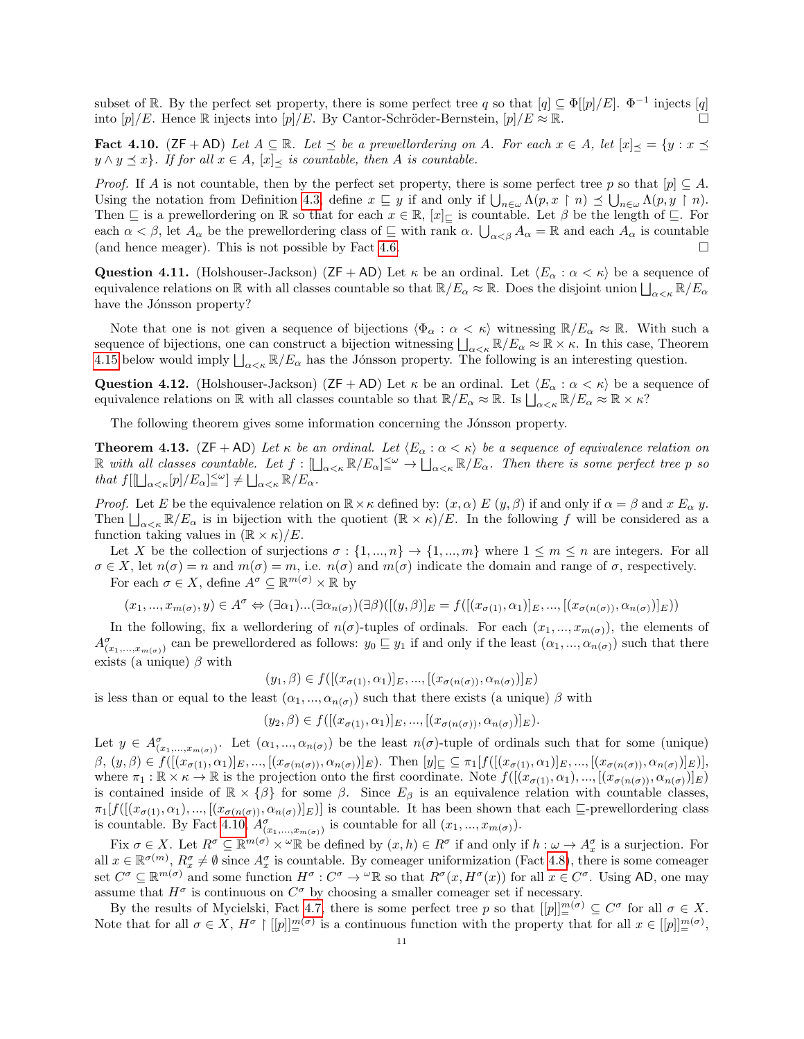subset of R. By the perfect set property, there is some perfect tree q so that  $[q] \subseteq \Phi[[p]/E]$ .  $\Phi^{-1}$  injects  $[q]$ into  $[p]/E$ . Hence R injects into  $[p]/E$ . By Cantor-Schröder-Bernstein,  $[p]/E \approx \mathbb{R}$ .

<span id="page-10-0"></span>Fact 4.10. (ZF + AD) Let  $A \subseteq \mathbb{R}$ . Let  $\preceq$  be a prewellordering on A. For each  $x \in A$ , let  $[x]_{\preceq} = \{y : x \preceq$  $y \wedge y \preceq x$ . If for all  $x \in A$ ,  $[x]_{\prec}$  is countable, then A is countable.

*Proof.* If A is not countable, then by the perfect set property, there is some perfect tree p so that  $[p] \subseteq A$ . Using the notation from Definition [4.3,](#page-8-1) define  $x \subseteq y$  if and only if  $\bigcup_{n\in\omega}\Lambda(p,x \restriction n) \preceq \bigcup_{n\in\omega}\Lambda(p,y \restriction n)$ . Then  $\subseteq$  is a prewellordering on R so that for each  $x \in \mathbb{R}$ ,  $[x]_{\subseteq}$  is countable. Let  $\beta$  be the length of  $\subseteq$ . For each  $\alpha < \beta$ , let  $A_{\alpha}$  be the prewellordering class of  $\subseteq$  with rank  $\alpha$ .  $\bigcup_{\alpha < \beta} A_{\alpha} = \mathbb{R}$  and each  $A_{\alpha}$  is countable (and hence meager). This is not possible by Fact [4.6.](#page-9-1)

**Question 4.11.** (Holshouser-Jackson) (ZF + AD) Let  $\kappa$  be an ordinal. Let  $\langle E_\alpha : \alpha < \kappa \rangle$  be a sequence of equivalence relations on  $\mathbb R$  with all classes countable so that  $\mathbb R/E_\alpha \approx \mathbb R$ . Does the disjoint union  $\bigsqcup_{\alpha<\kappa} \mathbb R/E_\alpha$ have the Jónsson property?

Note that one is not given a sequence of bijections  $\langle \Phi_{\alpha} : \alpha < \kappa \rangle$  witnessing  $\mathbb{R}/E_{\alpha} \approx \mathbb{R}$ . With such a sequence of bijections, one can construct a bijection witnessing  $\bigsqcup_{\alpha<\kappa} \mathbb{R}/E_\alpha \approx \mathbb{R} \times \kappa$ . In this case, Theorem [4.15](#page-11-0) below would imply  $\bigcup_{\alpha<\kappa}\mathbb{R}/E_\alpha$  has the Jónsson property. The following is an interesting question.

<span id="page-10-2"></span>**Question 4.12.** (Holshouser-Jackson)  $(ZF + AD)$  Let  $\kappa$  be an ordinal. Let  $\langle E_{\alpha} : \alpha \langle \kappa \rangle$  be a sequence of equivalence relations on  $\mathbb R$  with all classes countable so that  $\mathbb R/E_\alpha \approx \mathbb R$ . Is  $\bigsqcup_{\alpha<\kappa} \mathbb R/E_\alpha \approx \mathbb R\times \kappa$ ?

The following theorem gives some information concerning the Jónsson property.

<span id="page-10-1"></span>**Theorem 4.13.** (ZF + AD) Let  $\kappa$  be an ordinal. Let  $\langle E_{\alpha} : \alpha \langle \kappa \rangle$  be a sequence of equivalence relation on R with all classes countable. Let  $f: [\bigsqcup_{\alpha<\kappa} \mathbb{R}/E_\alpha] \leq^{\omega} \to \bigsqcup_{\alpha<\kappa} \mathbb{R}/E_\alpha$ . Then there is some perfect tree p so that  $f[[\Box_{\alpha<\kappa}[p]/E_{\alpha}]_{\alpha}^{<\omega}] \neq \Box_{\alpha<\kappa} \mathbb{R}/E_{\alpha}$ .

*Proof.* Let E be the equivalence relation on  $\mathbb{R}\times\kappa$  defined by:  $(x,\alpha) \to (y,\beta)$  if and only if  $\alpha = \beta$  and  $x \to \alpha$  y. Then  $\bigsqcup_{\alpha<\kappa} \mathbb{R}/E_\alpha$  is in bijection with the quotient  $(\mathbb{R} \times \kappa)/E$ . In the following f will be considered as a function taking values in  $(\mathbb{R} \times \kappa)/E$ .

Let X be the collection of surjections  $\sigma : \{1, ..., n\} \to \{1, ..., m\}$  where  $1 \leq m \leq n$  are integers. For all  $\sigma \in X$ , let  $n(\sigma) = n$  and  $m(\sigma) = m$ , i.e.  $n(\sigma)$  and  $m(\sigma)$  indicate the domain and range of  $\sigma$ , respectively. For each  $\sigma \in X$ , define  $A^{\sigma} \subseteq \mathbb{R}^{m(\sigma)} \times \mathbb{R}$  by

 $(x_1, ..., x_{m(\sigma)}, y) \in A^{\sigma} \Leftrightarrow (\exists \alpha_1)...(\exists \alpha_{n(\sigma)})(\exists \beta)([(y, \beta)]_E = f([(x_{\sigma(1)}, \alpha_1)]_E, ..., [(x_{\sigma(n(\sigma))}, \alpha_{n(\sigma)})]_E))$ 

In the following, fix a wellordering of  $n(\sigma)$ -tuples of ordinals. For each  $(x_1, ..., x_{m(\sigma)})$ , the elements of  $A^{\sigma}_{(x_1,...,x_{m(\sigma)})}$  can be prewellordered as follows:  $y_0 \sqsubseteq y_1$  if and only if the least  $(\alpha_1,...,\alpha_{n(\sigma)})$  such that there exists (a unique)  $\beta$  with

$$
(y_1, \beta) \in f([ (x_{\sigma(1)}, \alpha_1)]_E, ..., [(x_{\sigma(n(\sigma))}, \alpha_{n(\sigma)})]_E)
$$

is less than or equal to the least  $(\alpha_1, ..., \alpha_{n(\sigma)})$  such that there exists (a unique)  $\beta$  with

$$
(y_2, \beta) \in f([(x_{\sigma(1)}, \alpha_1)]_E, ..., [(x_{\sigma(n(\sigma))}, \alpha_{n(\sigma)})]_E).
$$

Let  $y \in A^{\sigma}_{(x_1,...,x_{m(\sigma)})}$ . Let  $(\alpha_1,...,\alpha_{n(\sigma)})$  be the least  $n(\sigma)$ -tuple of ordinals such that for some (unique)  $\beta, (y, \beta) \in f([(x_{\sigma(1)}, \alpha_1)]_E, ..., [(x_{\sigma(n(\sigma))}, \alpha_{n(\sigma)})]_E).$  Then  $[y]_{\sqsubseteq} \subseteq \pi_1[f([(x_{\sigma(1)}, \alpha_1)]_E, ..., [(x_{\sigma(n(\sigma))}, \alpha_{n(\sigma)})]_E)],$ where  $\pi_1 : \mathbb{R} \times \kappa \to \mathbb{R}$  is the projection onto the first coordinate. Note  $f([(x_{\sigma(1)}, \alpha_1), ..., [(x_{\sigma(n(\sigma))}, \alpha_{n(\sigma)})]_E)$ is contained inside of  $\mathbb{R} \times {\{\beta\}}$  for some  $\beta$ . Since  $E_{\beta}$  is an equivalence relation with countable classes,  $\pi_1[f([(x_{\sigma(1)}, \alpha_1), ..., [(x_{\sigma(n(\sigma)}), \alpha_{n(\sigma)})]_E)]$  is countable. It has been shown that each  $\sqsubseteq$ -prewellordering class is countable. By Fact [4.10,](#page-10-0)  $A^{\sigma}_{(x_1,...,x_{m(\sigma)})}$  is countable for all  $(x_1,...,x_{m(\sigma)})$ .

Fix  $\sigma \in X$ . Let  $R^{\sigma} \subseteq \mathbb{R}^{m(\sigma)} \times \omega \mathbb{R}$  be defined by  $(x, h) \in R^{\sigma}$  if and only if  $h : \omega \to A_x^{\sigma}$  is a surjection. For all  $x \in \mathbb{R}^{\sigma(m)}$ ,  $R_x^{\sigma} \neq \emptyset$  since  $A_x^{\sigma}$  is countable. By comeager uniformization (Fact [4.8\)](#page-9-2), there is some comeager set  $C^{\sigma} \subseteq \mathbb{R}^{m(\sigma)}$  and some function  $H^{\sigma}: C^{\sigma} \to {}^{\omega} \mathbb{R}$  so that  $R^{\sigma}(x, H^{\sigma}(x))$  for all  $x \in C^{\sigma}$ . Using AD, one may assume that  $H^{\sigma}$  is continuous on  $C^{\sigma}$  by choosing a smaller comeager set if necessary.

By the results of Mycielski, Fact [4.7,](#page-9-3) there is some perfect tree p so that  $[[p]]_{{}^{-}{}_{-}}^{\{m\}} \subseteq C^{\sigma}$  for all  $\sigma \in X$ . Note that for all  $\sigma \in X$ ,  $H^{\sigma} \restriction [[p]]_{=}^{\pi(\sigma)}$  is a continuous function with the property that for all  $x \in [[p]]_{=}^{\pi(\sigma)}$ ,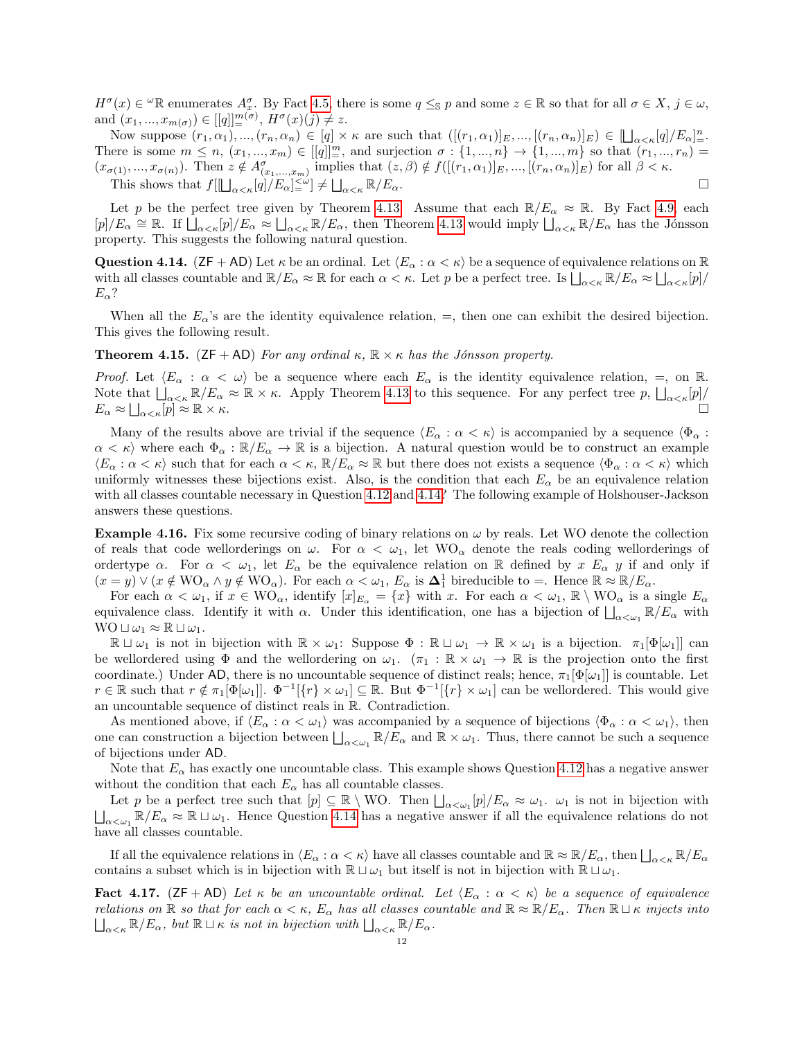$H^{\sigma}(x) \in {}^{\omega} \mathbb{R}$  enumerates  $A^{\sigma}_{x}$ . By Fact [4.5,](#page-9-4) there is some  $q \leq_{\mathbb{S}} p$  and some  $z \in \mathbb{R}$  so that for all  $\sigma \in X$ ,  $j \in \omega$ , and  $(x_1, ..., x_{m(\sigma)}) \in [[q]]_{=}^{m(\sigma)}, H^{\sigma}(x)(j) \neq z$ .

Now suppose  $(r_1, \alpha_1), ..., (r_n, \alpha_n) \in [q] \times \kappa$  are such that  $([(r_1, \alpha_1)]_E, ..., [(r_n, \alpha_n)]_E) \in [\bigsqcup_{\alpha < \kappa} [q]/E_\alpha]_{\alpha}^n$ . There is some  $m \le n$ ,  $(x_1, ..., x_m) \in [[q]]_{\equiv}^m$ , and surjection  $\sigma : \{1, ..., n\} \to \{1, ..., m\}$  so that  $(r_1, ..., r_n) =$  $(x_{\sigma(1)},...,x_{\sigma(n)})$ . Then  $z \notin A^{\sigma}_{(x_1,...,x_m)}$  implies that  $(z, \beta) \notin f([[r_1, \alpha_1)]_E, ..., [(r_n, \alpha_n)]_E)$  for all  $\beta < \kappa$ . This shows that  $f[[\bigcup_{\alpha<\kappa}[q]/E_{\alpha}]^{\leq\omega}]\neq\bigcup_{\alpha<\kappa}\mathbb{R}/E_{\alpha}$ .

Let p be the perfect tree given by Theorem [4.13.](#page-10-1) Assume that each  $\mathbb{R}/E_{\alpha} \approx \mathbb{R}$ . By Fact [4.9,](#page-9-5) each  $[p]/E_{\alpha} \cong \mathbb{R}$ . If  $\bigcup_{\alpha<\kappa} [p]/E_{\alpha} \approx \bigcup_{\alpha<\kappa} \mathbb{R}/E_{\alpha}$ , then Theorem [4.13](#page-10-1) would imply  $\bigcup_{\alpha<\kappa} \mathbb{R}/E_{\alpha}$  has the Jónsson property. This suggests the following natural question.

<span id="page-11-1"></span>**Question 4.14.** ( $ZF + AD$ ) Let  $\kappa$  be an ordinal. Let  $\langle E_\alpha : \alpha \langle \kappa \rangle$  be a sequence of equivalence relations on R with all classes countable and  $\mathbb{R}/E_{\alpha} \approx \mathbb{R}$  for each  $\alpha < \kappa$ . Let p be a perfect tree. Is  $\bigsqcup_{\alpha < \kappa} \mathbb{R}/E_{\alpha} \approx \bigsqcup_{\alpha < \kappa} [p]$ /  $E_{\alpha}$ ?

When all the  $E_{\alpha}$ 's are the identity equivalence relation, =, then one can exhibit the desired bijection. This gives the following result.

<span id="page-11-0"></span>**Theorem 4.15.** ( $ZF + AD$ ) For any ordinal  $\kappa$ ,  $\mathbb{R} \times \kappa$  has the Jónsson property.

*Proof.* Let  $\langle E_\alpha : \alpha < \omega \rangle$  be a sequence where each  $E_\alpha$  is the identity equivalence relation, =, on R. Note that  $\bigcup_{\alpha<\kappa}\mathbb{R}/E_\alpha\approx\mathbb{R}\times\kappa$ . Apply Theorem [4.13](#page-10-1) to this sequence. For any perfect tree p,  $\bigcup_{\alpha<\kappa}[p]/\kappa$  $E_{\alpha} \approx \Box$  $\alpha < \kappa$ [p]  $\approx \mathbb{R} \times \kappa$ .

Many of the results above are trivial if the sequence  $\langle E_\alpha : \alpha < \kappa \rangle$  is accompanied by a sequence  $\langle \Phi_\alpha : \alpha \rangle$  $\alpha < \kappa$ ) where each  $\Phi_{\alpha} : \mathbb{R}/E_{\alpha} \to \mathbb{R}$  is a bijection. A natural question would be to construct an example  $\langle E_\alpha : \alpha < \kappa \rangle$  such that for each  $\alpha < \kappa$ ,  $\mathbb{R}/E_\alpha \approx \mathbb{R}$  but there does not exists a sequence  $\langle \Phi_\alpha : \alpha < \kappa \rangle$  which uniformly witnesses these bijections exist. Also, is the condition that each  $E_{\alpha}$  be an equivalence relation with all classes countable necessary in Question [4.12](#page-10-2) and [4.14?](#page-11-1) The following example of Holshouser-Jackson answers these questions.

**Example 4.16.** Fix some recursive coding of binary relations on  $\omega$  by reals. Let WO denote the collection of reals that code wellorderings on  $\omega$ . For  $\alpha < \omega_1$ , let  $WO_{\alpha}$  denote the reals coding wellorderings of ordertype  $\alpha$ . For  $\alpha < \omega_1$ , let  $E_\alpha$  be the equivalence relation on R defined by x  $E_\alpha$  y if and only if  $(x = y) \vee (x \notin WO_\alpha \wedge y \notin WO_\alpha)$ . For each  $\alpha < \omega_1$ ,  $E_\alpha$  is  $\Delta_1^1$  bireducible to =. Hence  $\mathbb{R} \approx \mathbb{R}/E_\alpha$ .

For each  $\alpha < \omega_1$ , if  $x \in WO_\alpha$ , identify  $[x]_{E_\alpha} = \{x\}$  with x. For each  $\alpha < \omega_1$ ,  $\mathbb{R} \setminus WO_\alpha$  is a single  $E_\alpha$ equivalence class. Identify it with  $\alpha$ . Under this identification, one has a bijection of  $\bigsqcup_{\alpha<\omega_1}\mathbb{R}/E_\alpha$  with  $WO \sqcup \omega_1 \approx \mathbb{R} \sqcup \omega_1.$ 

 $\mathbb{R} \sqcup \omega_1$  is not in bijection with  $\mathbb{R} \times \omega_1$ : Suppose  $\Phi : \mathbb{R} \sqcup \omega_1 \to \mathbb{R} \times \omega_1$  is a bijection.  $\pi_1[\Phi[\omega_1]]$  can be wellordered using  $\Phi$  and the wellordering on  $\omega_1$ .  $(\pi_1 : \mathbb{R} \times \omega_1 \to \mathbb{R}$  is the projection onto the first coordinate.) Under AD, there is no uncountable sequence of distinct reals; hence,  $\pi_1[\Phi[\omega_1]]$  is countable. Let  $r \in \mathbb{R}$  such that  $r \notin \pi_1[\Phi[\omega_1]]$ .  $\Phi^{-1}[\{r\} \times \omega_1] \subseteq \mathbb{R}$ . But  $\Phi^{-1}[\{r\} \times \omega_1]$  can be wellordered. This would give an uncountable sequence of distinct reals in R. Contradiction.

As mentioned above, if  $\langle E_\alpha : \alpha < \omega_1 \rangle$  was accompanied by a sequence of bijections  $\langle \Phi_\alpha : \alpha < \omega_1 \rangle$ , then one can construction a bijection between  $\bigsqcup_{\alpha<\omega_1}\mathbb{R}/E_\alpha$  and  $\mathbb{R}\times\omega_1$ . Thus, there cannot be such a sequence of bijections under AD.

Note that  $E_{\alpha}$  has exactly one uncountable class. This example shows Question [4.12](#page-10-2) has a negative answer without the condition that each  $E_{\alpha}$  has all countable classes.

Let p be a perfect tree such that  $[p] \subseteq \mathbb{R} \setminus W$ . Then  $\bigsqcup_{\alpha < \omega_1} [p]/E_\alpha \approx \omega_1$ .  $\omega_1$  is not in bijection with  $\bigcup_{\alpha<\omega_1}\mathbb{R}/E_\alpha\approx\mathbb{R}\sqcup\omega_1$ . Hence Question [4.14](#page-11-1) has a negative answer if all the equivalence relations do not have all classes countable.

If all the equivalence relations in  $\langle E_\alpha : \alpha < \kappa \rangle$  have all classes countable and  $\mathbb{R} \approx \mathbb{R}/E_\alpha$ , then  $\bigsqcup_{\alpha < \kappa} \mathbb{R}/E_\alpha$ contains a subset which is in bijection with  $\mathbb{R} \sqcup \omega_1$  but itself is not in bijection with  $\mathbb{R} \sqcup \omega_1$ .

**Fact 4.17.** ( $ZF + AD$ ) Let  $\kappa$  be an uncountable ordinal. Let  $\langle E_\alpha : \alpha \langle \kappa \rangle$  be a sequence of equivalence relations on R so that for each  $\alpha < \kappa$ ,  $E_{\alpha}$  has all classes countable and  $\mathbb{R} \approx \mathbb{R}/E_{\alpha}$ . Then  $\mathbb{R} \sqcup \kappa$  injects into  $\bigsqcup_{\alpha<\kappa} \mathbb{R}/E_{\alpha}$ , but  $\mathbb{R} \sqcup \kappa$  is not in bijection with  $\bigsqcup_{\alpha<\kappa} \mathbb{R}/E_{\alpha}$ .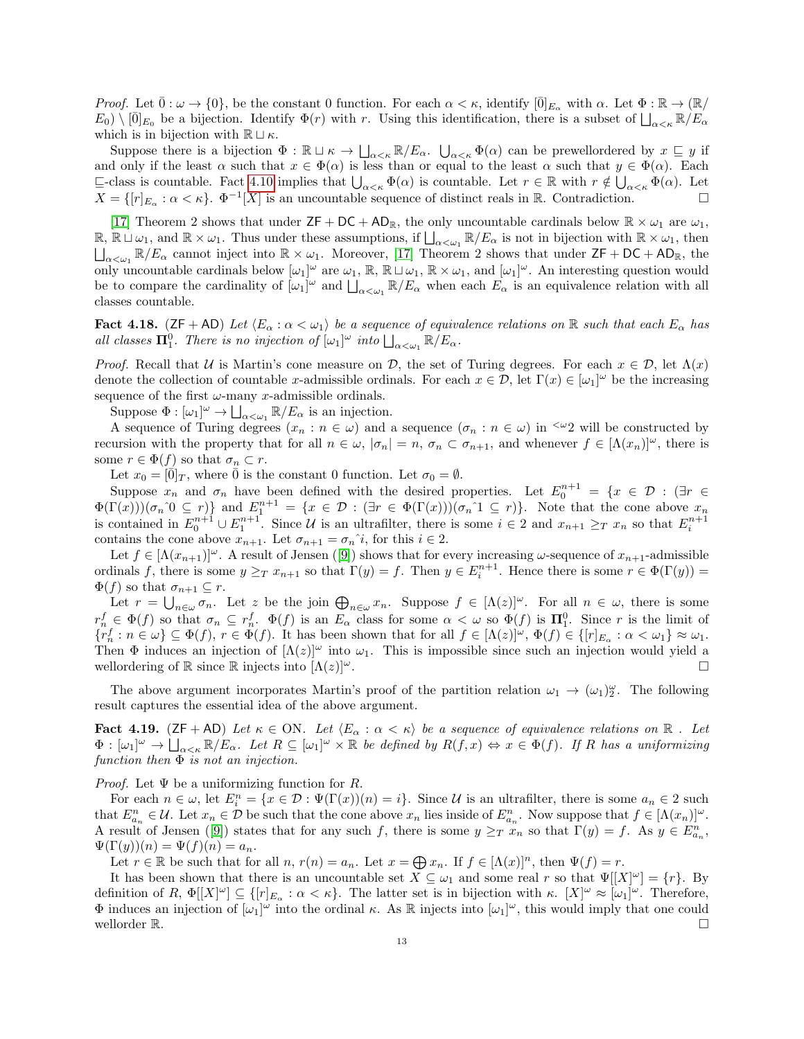*Proof.* Let  $\overline{0} : \omega \to \{0\}$ , be the constant 0 function. For each  $\alpha < \kappa$ , identify  $[\overline{0}]_{E_{\alpha}}$  with  $\alpha$ . Let  $\Phi : \mathbb{R} \to (\mathbb{R}/\mathbb{R})$  $E_0$ )  $\setminus [\overline{0}]_{E_0}$  be a bijection. Identify  $\Phi(r)$  with r. Using this identification, there is a subset of  $\bigsqcup_{\alpha<\kappa} \mathbb{R}/E_{\alpha}$ which is in bijection with  $\mathbb{R} \sqcup \kappa$ .

Suppose there is a bijection  $\Phi : \mathbb{R} \sqcup \kappa \to \bigsqcup_{\alpha<\kappa} \mathbb{R}/E_\alpha$ .  $\bigcup_{\alpha<\kappa} \Phi(\alpha)$  can be prewellordered by  $x \sqsubseteq y$  if and only if the least  $\alpha$  such that  $x \in \Phi(\alpha)$  is less than or equal to the least  $\alpha$  such that  $y \in \Phi(\alpha)$ . Each  $\subseteq$ -class is countable. Fact [4.10](#page-10-0) implies that  $\bigcup_{\alpha<\kappa}$  Φ(α) is countable. Let  $r \in \mathbb{R}$  with  $r \notin \bigcup_{\alpha<\kappa}$  Φ(α). Let  $X = \{ [r]_{E_\alpha} : \alpha < \kappa \}.$   $\Phi^{-1}[X]$  is an uncountable sequence of distinct reals in R. Contradiction.

[\[17\]](#page-14-17) Theorem 2 shows that under  $ZF + DC + AD_R$ , the only uncountable cardinals below  $\mathbb{R} \times \omega_1$  are  $\omega_1$ ,  $\mathbb{R}, \overline{\mathbb{R}} \sqcup \omega_1$ , and  $\mathbb{R} \times \omega_1$ . Thus under these assumptions, if  $\bigsqcup_{\alpha < \omega_1} \mathbb{R}/E_\alpha$  is not in bijection with  $\mathbb{R} \times \omega_1$ , then  $\bigsqcup_{\alpha<\omega_1}\mathbb{R}/E_\alpha$  cannot inject into  $\mathbb{R}\times\omega_1$ . Moreover, [\[17\]](#page-14-17) Theorem 2 shows that under  $\mathsf{ZF}+\mathsf{DC}+\mathsf{AD}_\mathbb{R}$ , the only uncountable cardinals below  $[\omega_1]^{\omega}$  are  $\omega_1$ ,  $\mathbb{R}, \mathbb{R} \sqcup \omega_1$ ,  $\mathbb{R} \times \omega_1$ , and  $[\omega_1]^{\omega}$ . An interesting question would be to compare the cardinality of  $[\omega_1]^{\omega}$  and  $\bigsqcup_{\alpha<\omega_1} \mathbb{R}/E_{\alpha}$  when each  $E_{\alpha}$  is an equivalence relation with all classes countable.

**Fact 4.18.** ( $ZF + AD$ ) Let  $\langle E_{\alpha} : \alpha < \omega_1 \rangle$  be a sequence of equivalence relations on R such that each  $E_{\alpha}$  has all classes  $\Pi_1^0$ . There is no injection of  $[\omega_1]^{\omega}$  into  $\bigsqcup_{\alpha<\omega_1}\mathbb{R}/E_{\alpha}$ .

*Proof.* Recall that U is Martin's cone measure on D, the set of Turing degrees. For each  $x \in \mathcal{D}$ , let  $\Lambda(x)$ denote the collection of countable x-admissible ordinals. For each  $x \in \mathcal{D}$ , let  $\Gamma(x) \in [\omega_1]^\omega$  be the increasing sequence of the first  $\omega$ -many x-admissible ordinals.

Suppose  $\Phi : [\omega_1]^{\omega} \to \bigsqcup_{\alpha < \omega_1} \mathbb{R}/E_{\alpha}$  is an injection.

A sequence of Turing degrees  $(x_n : n \in \omega)$  and a sequence  $(\sigma_n : n \in \omega)$  in  $\leq \omega_2$  will be constructed by recursion with the property that for all  $n \in \omega$ ,  $|\sigma_n| = n$ ,  $\sigma_n \subset \sigma_{n+1}$ , and whenever  $f \in [\Lambda(x_n)]^{\omega}$ , there is some  $r \in \Phi(f)$  so that  $\sigma_n \subset r$ .

Let  $x_0 = [\overline{0}]_T$ , where  $\overline{0}$  is the constant 0 function. Let  $\sigma_0 = \emptyset$ .

Suppose  $x_n$  and  $\sigma_n$  have been defined with the desired properties. Let  $E_0^{n+1} = \{x \in \mathcal{D} : |\exists r \in \mathcal{D}\}$  $\Phi(\Gamma(x))(\sigma_n \cap \Gamma \subseteq r)$  and  $E_1^{n+1} = \{x \in \mathcal{D} : (\exists r \in \Phi(\Gamma(x)))(\sigma_n \cap \Gamma \subseteq r)\}.$  Note that the cone above  $x_n$ is contained in  $E_0^{n+1} \cup E_1^{n+1}$ . Since U is an ultrafilter, there is some  $i \in 2$  and  $x_{n+1} \geq_T x_n$  so that  $E_i^{n+1}$ contains the cone above  $x_{n+1}$ . Let  $\sigma_{n+1} = \sigma_n^i$ , for this  $i \in 2$ .

Let $f \in [\Lambda(x_{n+1})]^{\omega}$ . A result of Jensen ([\[9\]](#page-14-18)) shows that for every increasing  $\omega$ -sequence of  $x_{n+1}$ -admissible ordinals f, there is some  $y \geq_T x_{n+1}$  so that  $\Gamma(y) = f$ . Then  $y \in E_i^{n+1}$ . Hence there is some  $r \in \Phi(\Gamma(y)) =$  $\Phi(f)$  so that  $\sigma_{n+1} \subseteq r$ .

Let  $r = \bigcup_{n \in \omega} \sigma_n$ . Let z be the join  $\bigoplus_{n \in \omega} x_n$ . Suppose  $f \in [\Lambda(z)]^{\omega}$ . For all  $n \in \omega$ , there is some  $r_n^f \in \Phi(f)$  so that  $\sigma_n \subseteq r_n^f$ .  $\Phi(f)$  is an  $E_\alpha$  class for some  $\alpha < \omega$  so  $\Phi(f)$  is  $\mathbf{\Pi}_1^0$ . Since r is the limit of  ${r_n^f : n \in \omega} \subseteq \Phi(f), r \in \Phi(f).$  It has been shown that for all  $f \in [\Lambda(z)]^{\omega}$ ,  $\Phi(f) \in \{[r]_{E_\alpha} : \alpha < \omega_1\} \approx \omega_1$ . Then  $\Phi$  induces an injection of  $[\Lambda(z)]^{\omega}$  into  $\omega_1$ . This is impossible since such an injection would yield a wellordering of R since R injects into  $[\Lambda(z)]^{\omega}$ .

The above argument incorporates Martin's proof of the partition relation  $\omega_1 \to (\omega_1)_2^{\omega}$ . The following result captures the essential idea of the above argument.

<span id="page-12-0"></span>**Fact 4.19.** ( $ZF + AD$ ) Let  $\kappa \in ON$ . Let  $\langle E_\alpha : \alpha \langle \kappa \rangle$  be a sequence of equivalence relations on  $\mathbb{R}$ . Let  $\Phi: [\omega_1]^\omega \to \bigsqcup_{\alpha<\kappa} \mathbb{R}/E_\alpha$ . Let  $R \subseteq [\omega_1]^\omega \times \mathbb{R}$  be defined by  $R(f,x) \Leftrightarrow x \in \Phi(f)$ . If R has a uniformizing function then  $\Phi$  is not an injection.

*Proof.* Let  $\Psi$  be a uniformizing function for R.

For each  $n \in \omega$ , let  $E_i^n = \{x \in \mathcal{D} : \Psi(\Gamma(x))(n) = i\}$ . Since U is an ultrafilter, there is some  $a_n \in \Omega$  such that  $E_{a_n}^n \in \mathcal{U}$ . Let  $x_n \in \mathcal{D}$  be such that the cone above  $x_n$  lies inside of  $E_{a_n}^n$ . Now suppose that  $f \in [\Lambda(x_n)]^{\omega}$ . Aresult of Jensen ([\[9\]](#page-14-18)) states that for any such f, there is some  $y \geq_T x_n$  so that  $\Gamma(y) = f$ . As  $y \in E_{a_n}^n$ ,  $\Psi(\Gamma(y))(n) = \Psi(f)(n) = a_n.$ 

Let  $r \in \mathbb{R}$  be such that for all  $n, r(n) = a_n$ . Let  $x = \bigoplus x_n$ . If  $f \in [\Lambda(x)]^n$ , then  $\Psi(f) = r$ .

It has been shown that there is an uncountable set  $X \subseteq \omega_1$  and some real r so that  $\Psi[[X]^\omega] = \{r\}$ . By definition of  $R$ ,  $\Phi[[X]^\omega] \subseteq \{ [r]_{E_\alpha} : \alpha < \kappa \}$ . The latter set is in bijection with  $\kappa$ .  $[X]^\omega \approx [\omega_1]^\omega$ . Therefore,  $\Phi$  induces an injection of  $[\omega_1]^{\omega}$  into the ordinal  $\kappa$ . As R injects into  $[\omega_1]^{\omega}$ , this would imply that one could wellorder  $\mathbb{R}$ .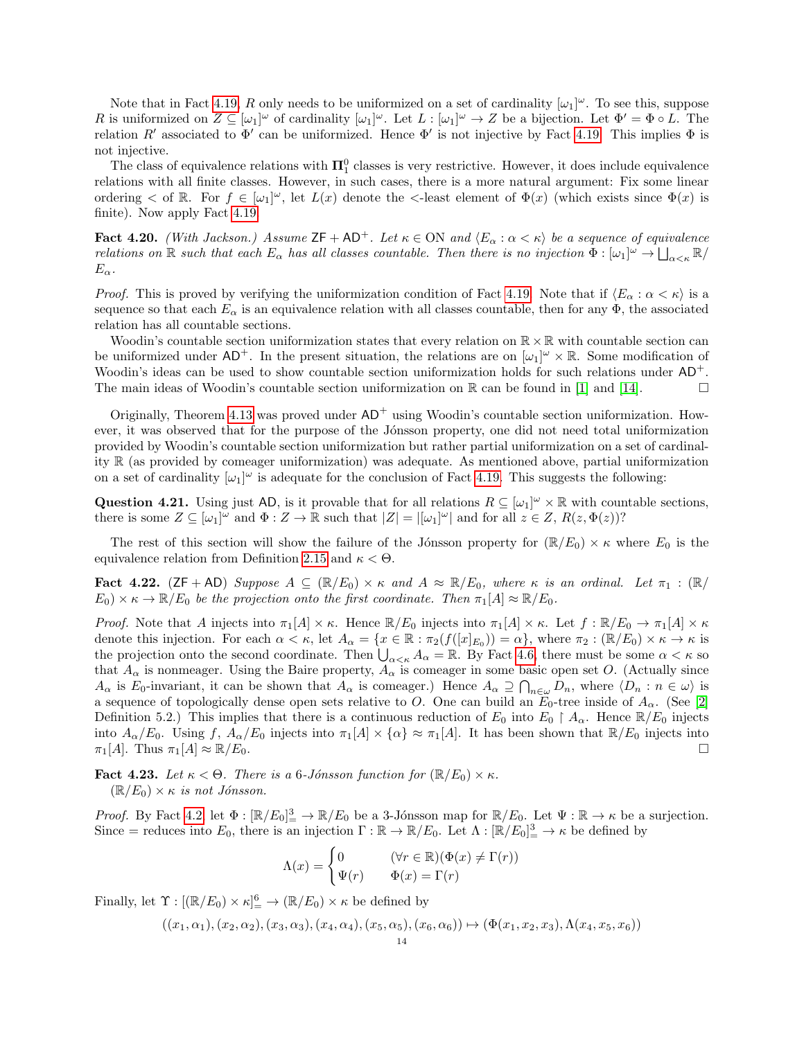Note that in Fact [4.19,](#page-12-0) R only needs to be uniformized on a set of cardinality  $[\omega_1]^\omega$ . To see this, suppose R is uniformized on  $Z \subseteq [\omega_1]^\omega$  of cardinality  $[\omega_1]^\omega$ . Let  $L : [\omega_1]^\omega \to Z$  be a bijection. Let  $\Phi' = \Phi \circ L$ . The relation R' associated to  $\Phi'$  can be uniformized. Hence  $\Phi'$  is not injective by Fact [4.19.](#page-12-0) This implies  $\Phi$  is not injective.

The class of equivalence relations with  $\Pi_1^0$  classes is very restrictive. However, it does include equivalence relations with all finite classes. However, in such cases, there is a more natural argument: Fix some linear ordering  $\lt$  of  $\mathbb{R}$ . For  $f \in [\omega_1]^{\omega}$ , let  $L(x)$  denote the  $\lt$ -least element of  $\Phi(x)$  (which exists since  $\Phi(x)$  is finite). Now apply Fact [4.19.](#page-12-0)

**Fact 4.20.** (With Jackson.) Assume  $ZF + AD^+$ . Let  $\kappa \in ON$  and  $\langle E_\alpha : \alpha < \kappa \rangle$  be a sequence of equivalence relations on  $\mathbb R$  such that each  $E_\alpha$  has all classes countable. Then there is no injection  $\Phi: [\omega_1]^\omega \to \bigsqcup_{\alpha<\kappa} \mathbb R$ /  $E_{\alpha}$ .

*Proof.* This is proved by verifying the uniformization condition of Fact [4.19.](#page-12-0) Note that if  $\langle E_\alpha : \alpha < \kappa \rangle$  is a sequence so that each  $E_{\alpha}$  is an equivalence relation with all classes countable, then for any  $\Phi$ , the associated relation has all countable sections.

Woodin's countable section uniformization states that every relation on  $\mathbb{R} \times \mathbb{R}$  with countable section can be uniformized under  $AD^+$ . In the present situation, the relations are on  $[\omega_1]^{\omega} \times \mathbb{R}$ . Some modification of Woodin's ideas can be used to show countable section uniformization holds for such relations under  $AD^+$ . The main ideas of Woodin's countable section uniformization on  $\mathbb R$  can be found in [\[1\]](#page-14-10) and [\[14\]](#page-14-7).

Originally, Theorem [4.13](#page-10-1) was proved under  $AD^+$  using Woodin's countable section uniformization. However, it was observed that for the purpose of the Jónsson property, one did not need total uniformization provided by Woodin's countable section uniformization but rather partial uniformization on a set of cardinality R (as provided by comeager uniformization) was adequate. As mentioned above, partial uniformization on a set of cardinality  $[\omega_1]^\omega$  is adequate for the conclusion of Fact [4.19.](#page-12-0) This suggests the following:

Question 4.21. Using just AD, is it provable that for all relations  $R \subseteq [\omega_1]^{\omega} \times \mathbb{R}$  with countable sections, there is some  $Z \subseteq [\omega_1]^{\omega}$  and  $\Phi : Z \to \mathbb{R}$  such that  $|Z| = |[\omega_1]^{\omega}|$  and for all  $z \in Z$ ,  $R(z, \Phi(z))$ ?

The rest of this section will show the failure of the Jónsson property for  $(\mathbb{R}/E_0) \times \kappa$  where  $E_0$  is the equivalence relation from Definition [2.15](#page-6-0) and  $\kappa < \Theta$ .

<span id="page-13-0"></span>**Fact 4.22.** ( $\mathsf{ZF} + \mathsf{AD}$ ) Suppose  $A \subseteq (\mathbb{R}/E_0) \times \kappa$  and  $A \approx \mathbb{R}/E_0$ , where  $\kappa$  is an ordinal. Let  $\pi_1 : (\mathbb{R}/E_0) \times \kappa \leq \kappa$  $E_0 \times \kappa \to \mathbb{R}/E_0$  be the projection onto the first coordinate. Then  $\pi_1[A] \approx \mathbb{R}/E_0$ .

*Proof.* Note that A injects into  $\pi_1[A] \times \kappa$ . Hence  $\mathbb{R}/E_0$  injects into  $\pi_1[A] \times \kappa$ . Let  $f : \mathbb{R}/E_0 \to \pi_1[A] \times \kappa$ denote this injection. For each  $\alpha < \kappa$ , let  $A_{\alpha} = \{x \in \mathbb{R} : \pi_2(f([x]_{E_0})) = \alpha\}$ , where  $\pi_2 : (\mathbb{R}/E_0) \times \kappa \to \kappa$  is the projection onto the second coordinate. Then  $\bigcup_{\alpha<\kappa}A_\alpha=\mathbb{R}$ . By Fact [4.6,](#page-9-1) there must be some  $\alpha<\kappa$  so that  $A_{\alpha}$  is nonmeager. Using the Baire property,  $A_{\alpha}$  is comeager in some basic open set O. (Actually since  $A_{\alpha}$  is  $E_0$ -invariant, it can be shown that  $A_{\alpha}$  is comeager.) Hence  $A_{\alpha} \supseteq \bigcap_{n \in \omega} D_n$ , where  $\langle D_n : n \in \omega \rangle$  is a sequence of topologically dense open sets relative to O. One can build an  $E_0$ -tree inside of  $A_\alpha$ . (See [\[2\]](#page-14-6) Definition 5.2.) This implies that there is a continuous reduction of  $E_0$  into  $E_0 \upharpoonright A_\alpha$ . Hence  $\mathbb{R}/E_0$  injects into  $A_{\alpha}/E_0$ . Using f,  $A_{\alpha}/E_0$  injects into  $\pi_1[A] \times {\alpha} \approx \pi_1[A]$ . It has been shown that  $\mathbb{R}/E_0$  injects into  $\pi_1[A]$ . Thus  $\pi_1[A] \approx \mathbb{R}/E_0$ .

**Fact 4.23.** Let  $\kappa < \Theta$ . There is a 6-Jónsson function for  $(\mathbb{R}/E_0) \times \kappa$ .  $(\mathbb{R}/E_0) \times \kappa$  is not Jónsson.

*Proof.* By Fact [4.2,](#page-8-2) let  $\Phi : [\mathbb{R}/E_0]_+^3 \to \mathbb{R}/E_0$  be a 3-Jónsson map for  $\mathbb{R}/E_0$ . Let  $\Psi : \mathbb{R} \to \kappa$  be a surjection. Since = reduces into  $E_0$ , there is an injection  $\Gamma : \mathbb{R} \to \mathbb{R}/E_0$ . Let  $\Lambda : [\mathbb{R}/E_0]_+^3 \to \kappa$  be defined by

$$
\Lambda(x) = \begin{cases} 0 & (\forall r \in \mathbb{R})(\Phi(x) \neq \Gamma(r)) \\ \Psi(r) & \Phi(x) = \Gamma(r) \end{cases}
$$

Finally, let  $\Upsilon : [(\mathbb{R}/E_0) \times \kappa]_+^6 \to (\mathbb{R}/E_0) \times \kappa$  be defined by

$$
((x_1,\alpha_1),(x_2,\alpha_2),(x_3,\alpha_3),(x_4,\alpha_4),(x_5,\alpha_5),(x_6,\alpha_6))\mapsto(\Phi(x_1,x_2,x_3),\Lambda(x_4,x_5,x_6))
$$